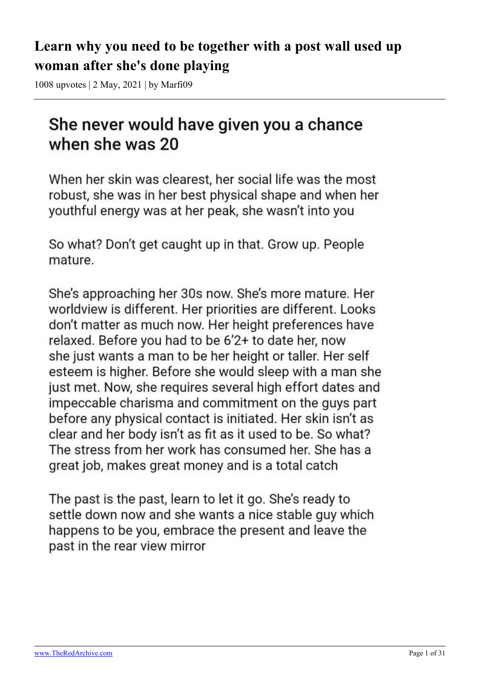# **Learn why you need to be together with a post wall used up woman after she's done playing**

1008 upvotes | 2 May, 2021 | by Marfi09

# She never would have given you a chance when she was 20

When her skin was clearest, her social life was the most robust, she was in her best physical shape and when her youthful energy was at her peak, she wasn't into you

So what? Don't get caught up in that. Grow up. People mature.

She's approaching her 30s now. She's more mature. Her worldview is different. Her priorities are different. Looks don't matter as much now. Her height preferences have relaxed. Before you had to be 6'2+ to date her, now she just wants a man to be her height or taller. Her self esteem is higher. Before she would sleep with a man she just met. Now, she requires several high effort dates and impeccable charisma and commitment on the guys part before any physical contact is initiated. Her skin isn't as clear and her body isn't as fit as it used to be. So what? The stress from her work has consumed her. She has a great job, makes great money and is a total catch

The past is the past, learn to let it go. She's ready to settle down now and she wants a nice stable guy which happens to be you, embrace the present and leave the past in the rear view mirror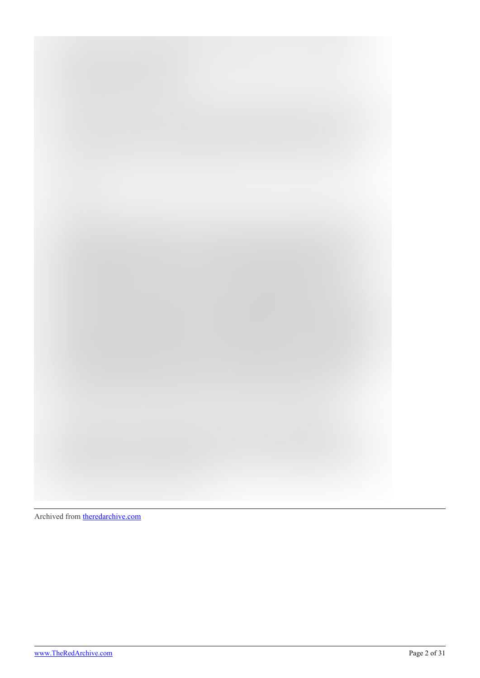

Archived from [theredarchive.com](https://theredarchive.com/r/WhereAreAllTheGoodMen/learn-why-you-need-to-be-together-with-a-post-wall.759625)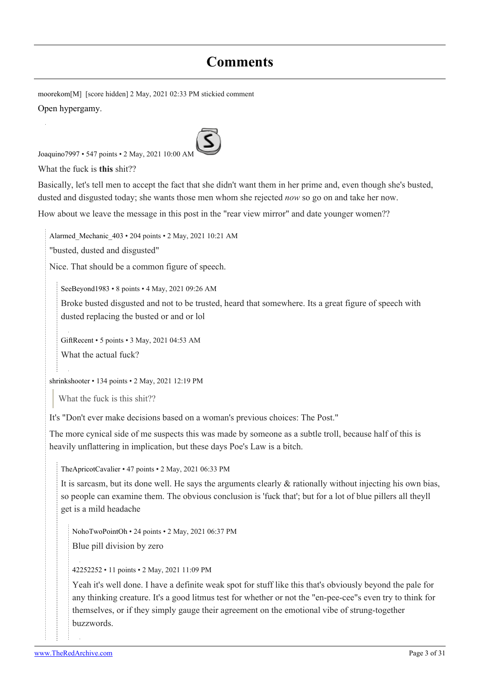# **Comments**

[moorekom](https://old.reddit.com/user/moorekom)[\[M](https://theredarchive.com/r/WhereAreAllTheGoodMen/about/moderators)] [score hidden] 2 May, 2021 02:33 PM stickied comment [Open hypergamy.](https://therationalmale.com/2014/08/07/open-hypergamy/)

[Joaquino7997](https://old.reddit.com/user/Joaquino7997) • 547 points • 2 May, 2021 10:00 AM

What the fuck is **this** shit??

Basically, let's tell men to accept the fact that she didn't want them in her prime and, even though she's busted, dusted and disgusted today; she wants those men whom she rejected *now* so go on and take her now.

How about we leave the message in this post in the "rear view mirror" and date younger women??

[Alarmed\\_Mechanic\\_403](https://old.reddit.com/user/Alarmed_Mechanic_403) • 204 points • 2 May, 2021 10:21 AM

"busted, dusted and disgusted"

Nice. That should be a common figure of speech.

[SeeBeyond1983](https://old.reddit.com/user/SeeBeyond1983) • 8 points • 4 May, 2021 09:26 AM

Broke busted disgusted and not to be trusted, heard that somewhere. Its a great figure of speech with dusted replacing the busted or and or lol

[GiftRecent](https://old.reddit.com/user/GiftRecent) • 5 points • 3 May, 2021 04:53 AM

What the actual fuck?

[shrinkshooter](https://old.reddit.com/user/shrinkshooter) • 134 points • 2 May, 2021 12:19 PM

What the fuck is this shit??

It's "Don't ever make decisions based on a woman's previous choices: The Post."

The more cynical side of me suspects this was made by someone as a subtle troll, because half of this is heavily unflattering in implication, but these days Poe's Law is a bitch.

[TheApricotCavalier](https://old.reddit.com/user/TheApricotCavalier) • 47 points • 2 May, 2021 06:33 PM

It is sarcasm, but its done well. He says the arguments clearly & rationally without injecting his own bias, so people can examine them. The obvious conclusion is 'fuck that'; but for a lot of blue pillers all theyll get is a mild headache

[NohoTwoPointOh](https://old.reddit.com/user/NohoTwoPointOh) • 24 points • 2 May, 2021 06:37 PM Blue pill division by zero

[42252252](https://old.reddit.com/user/42252252) • 11 points • 2 May, 2021 11:09 PM

Yeah it's well done. I have a definite weak spot for stuff like this that's obviously beyond the pale for any thinking creature. It's a good litmus test for whether or not the "en-pee-cee"s even try to think for themselves, or if they simply gauge their agreement on the emotional vibe of strung-together buzzwords.

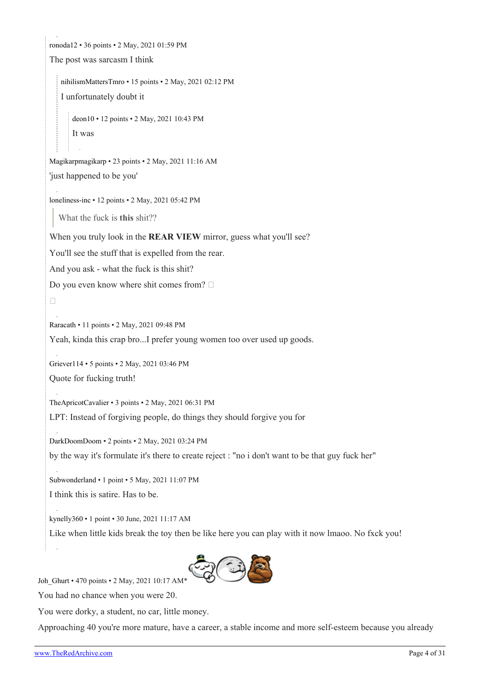```
ronoda12 • 36 points • 2 May, 2021 01:59 PM
The post was sarcasm I think
   nihilismMattersTmro • 15 points • 2 May, 2021 02:12 PM
   I unfortunately doubt it
      deon10 • 12 points • 2 May, 2021 10:43 PM
      It was
Magikarpmagikarp • 23 points • 2 May, 2021 11:16 AM
'just happened to be you'
loneliness-inc • 12 points • 2 May, 2021 05:42 PM
  What the fuck is this shit??
When you truly look in the REAR VIEW mirror, guess what you'll see?
You'll see the stuff that is expelled from the rear.
And you ask - what the fuck is this shit?
Do you even know where shit comes from? 
\BoxRaracath • 11 points • 2 May, 2021 09:48 PM
Yeah, kinda this crap bro...I prefer young women too over used up goods.
Griever114 • 5 points • 2 May, 2021 03:46 PM
Quote for fucking truth!
TheApricotCavalier • 3 points • 2 May, 2021 06:31 PM
LPT: Instead of forgiving people, do things they should forgive you for
DarkDoomDoom • 2 points • 2 May, 2021 03:24 PM
by the way it's formulate it's there to create reject : "no i don't want to be that guy fuck her"
Subwonderland • 1 point • 5 May, 2021 11:07 PM
I think this is satire. Has to be.
kynelly360 • 1 point • 30 June, 2021 11:17 AM
Like when little kids break the toy then be like here you can play with it now lmaoo. No fxck you!
```
Joh Ghurt • 470 points • 2 May, 2021 10:17 AM\*

You had no chance when you were 20.

You were dorky, a student, no car, little money.

Approaching 40 you're more mature, have a career, a stable income and more self-esteem because you already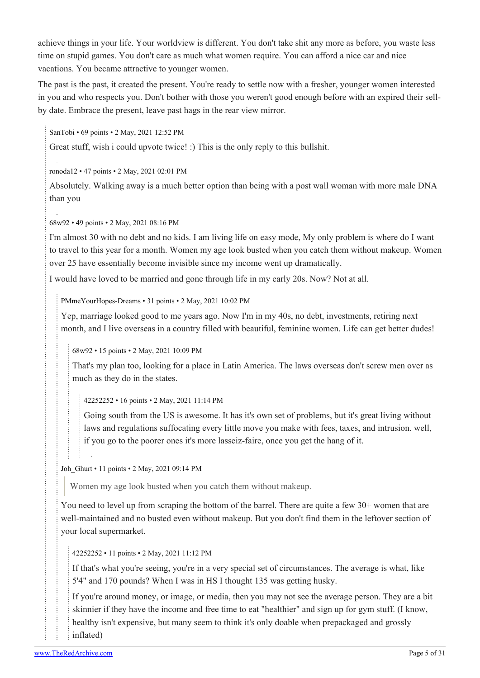achieve things in your life. Your worldview is different. You don't take shit any more as before, you waste less time on stupid games. You don't care as much what women require. You can afford a nice car and nice vacations. You became attractive to younger women.

The past is the past, it created the present. You're ready to settle now with a fresher, younger women interested in you and who respects you. Don't bother with those you weren't good enough before with an expired their sellby date. Embrace the present, leave past hags in the rear view mirror.

[SanTobi](https://old.reddit.com/user/SanTobi) • 69 points • 2 May, 2021 12:52 PM

Great stuff, wish i could upvote twice! :) This is the only reply to this bullshit.

[ronoda12](https://old.reddit.com/user/ronoda12) • 47 points • 2 May, 2021 02:01 PM

Absolutely. Walking away is a much better option than being with a post wall woman with more male DNA than you

[68w92](https://old.reddit.com/user/68w92) • 49 points • 2 May, 2021 08:16 PM

I'm almost 30 with no debt and no kids. I am living life on easy mode, My only problem is where do I want to travel to this year for a month. Women my age look busted when you catch them without makeup. Women over 25 have essentially become invisible since my income went up dramatically.

I would have loved to be married and gone through life in my early 20s. Now? Not at all.

[PMmeYourHopes-Dreams](https://old.reddit.com/user/PMmeYourHopes-Dreams) • 31 points • 2 May, 2021 10:02 PM

Yep, marriage looked good to me years ago. Now I'm in my 40s, no debt, investments, retiring next month, and I live overseas in a country filled with beautiful, feminine women. Life can get better dudes!

[68w92](https://old.reddit.com/user/68w92) • 15 points • 2 May, 2021 10:09 PM

That's my plan too, looking for a place in Latin America. The laws overseas don't screw men over as much as they do in the states.

[42252252](https://old.reddit.com/user/42252252) • 16 points • 2 May, 2021 11:14 PM

Going south from the US is awesome. It has it's own set of problems, but it's great living without laws and regulations suffocating every little move you make with fees, taxes, and intrusion. well, if you go to the poorer ones it's more lasseiz-faire, once you get the hang of it.

[Joh\\_Ghurt](https://old.reddit.com/user/Joh_Ghurt) • 11 points • 2 May, 2021 09:14 PM

Women my age look busted when you catch them without makeup.

You need to level up from scraping the bottom of the barrel. There are quite a few 30+ women that are well-maintained and no busted even without makeup. But you don't find them in the leftover section of your local supermarket.

[42252252](https://old.reddit.com/user/42252252) • 11 points • 2 May, 2021 11:12 PM

If that's what you're seeing, you're in a very special set of circumstances. The average is what, like 5'4" and 170 pounds? When I was in HS I thought 135 was getting husky.

If you're around money, or image, or media, then you may not see the average person. They are a bit skinnier if they have the income and free time to eat "healthier" and sign up for gym stuff. (I know, healthy isn't expensive, but many seem to think it's only doable when prepackaged and grossly inflated)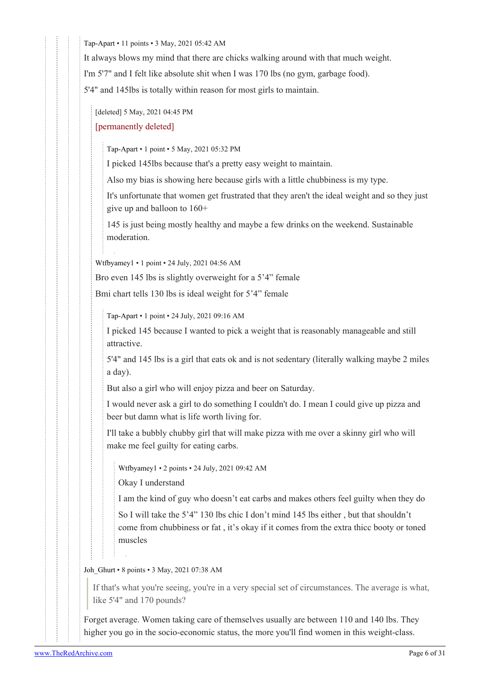[Tap-Apart](https://old.reddit.com/user/Tap-Apart) • 11 points • 3 May, 2021 05:42 AM

It always blows my mind that there are chicks walking around with that much weight.

I'm 5'7" and I felt like absolute shit when I was 170 lbs (no gym, garbage food).

5'4" and 145lbs is totally within reason for most girls to maintain.

[deleted] 5 May, 2021 04:45 PM

## [permanently deleted]

[Tap-Apart](https://old.reddit.com/user/Tap-Apart) • 1 point • 5 May, 2021 05:32 PM

I picked 145lbs because that's a pretty easy weight to maintain.

Also my bias is showing here because girls with a little chubbiness is my type.

It's unfortunate that women get frustrated that they aren't the ideal weight and so they just give up and balloon to 160+

145 is just being mostly healthy and maybe a few drinks on the weekend. Sustainable moderation.

[Wtfbyamey1](https://old.reddit.com/user/Wtfbyamey1) • 1 point • 24 July, 2021 04:56 AM

Bro even 145 lbs is slightly overweight for a 5'4" female

Bmi chart tells 130 lbs is ideal weight for 5'4" female

[Tap-Apart](https://old.reddit.com/user/Tap-Apart) • 1 point • 24 July, 2021 09:16 AM

I picked 145 because I wanted to pick a weight that is reasonably manageable and still attractive.

5'4" and 145 lbs is a girl that eats ok and is not sedentary (literally walking maybe 2 miles a day).

But also a girl who will enjoy pizza and beer on Saturday.

I would never ask a girl to do something I couldn't do. I mean I could give up pizza and beer but damn what is life worth living for.

I'll take a bubbly chubby girl that will make pizza with me over a skinny girl who will make me feel guilty for eating carbs.

[Wtfbyamey1](https://old.reddit.com/user/Wtfbyamey1) • 2 points • 24 July, 2021 09:42 AM

Okay I understand

I am the kind of guy who doesn't eat carbs and makes others feel guilty when they do

So I will take the 5'4" 130 lbs chic I don't mind 145 lbs either , but that shouldn't come from chubbiness or fat , it's okay if it comes from the extra thicc booty or toned muscles

[Joh\\_Ghurt](https://old.reddit.com/user/Joh_Ghurt) • 8 points • 3 May, 2021 07:38 AM

If that's what you're seeing, you're in a very special set of circumstances. The average is what, like 5'4" and 170 pounds?

Forget average. Women taking care of themselves usually are between 110 and 140 lbs. They higher you go in the socio-economic status, the more you'll find women in this weight-class.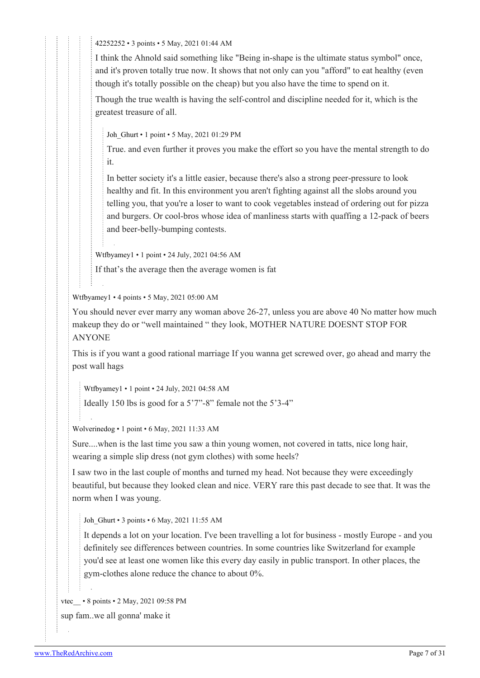[42252252](https://old.reddit.com/user/42252252) • 3 points • 5 May, 2021 01:44 AM

I think the Ahnold said something like "Being in-shape is the ultimate status symbol" once, and it's proven totally true now. It shows that not only can you "afford" to eat healthy (even though it's totally possible on the cheap) but you also have the time to spend on it.

Though the true wealth is having the self-control and discipline needed for it, which is the greatest treasure of all.

Joh Ghurt • 1 point • 5 May, 2021 01:29 PM

True. and even further it proves you make the effort so you have the mental strength to do it.

In better society it's a little easier, because there's also a strong peer-pressure to look healthy and fit. In this environment you aren't fighting against all the slobs around you telling you, that you're a loser to want to cook vegetables instead of ordering out for pizza and burgers. Or cool-bros whose idea of manliness starts with quaffing a 12-pack of beers and beer-belly-bumping contests.

[Wtfbyamey1](https://old.reddit.com/user/Wtfbyamey1) • 1 point • 24 July, 2021 04:56 AM

If that's the average then the average women is fat

[Wtfbyamey1](https://old.reddit.com/user/Wtfbyamey1) • 4 points • 5 May, 2021 05:00 AM

You should never ever marry any woman above 26-27, unless you are above 40 No matter how much makeup they do or "well maintained " they look, MOTHER NATURE DOESNT STOP FOR ANYONE

This is if you want a good rational marriage If you wanna get screwed over, go ahead and marry the post wall hags

[Wtfbyamey1](https://old.reddit.com/user/Wtfbyamey1) • 1 point • 24 July, 2021 04:58 AM

Ideally 150 lbs is good for a 5'7"-8" female not the 5'3-4"

[Wolverinedog](https://old.reddit.com/user/Wolverinedog) • 1 point • 6 May, 2021 11:33 AM

Sure....when is the last time you saw a thin young women, not covered in tatts, nice long hair, wearing a simple slip dress (not gym clothes) with some heels?

I saw two in the last couple of months and turned my head. Not because they were exceedingly beautiful, but because they looked clean and nice. VERY rare this past decade to see that. It was the norm when I was young.

[Joh\\_Ghurt](https://old.reddit.com/user/Joh_Ghurt) • 3 points • 6 May, 2021 11:55 AM

It depends a lot on your location. I've been travelling a lot for business - mostly Europe - and you definitely see differences between countries. In some countries like Switzerland for example you'd see at least one women like this every day easily in public transport. In other places, the gym-clothes alone reduce the chance to about 0%.

vtec • 8 points • 2 May, 2021 09:58 PM sup fam..we all gonna' make it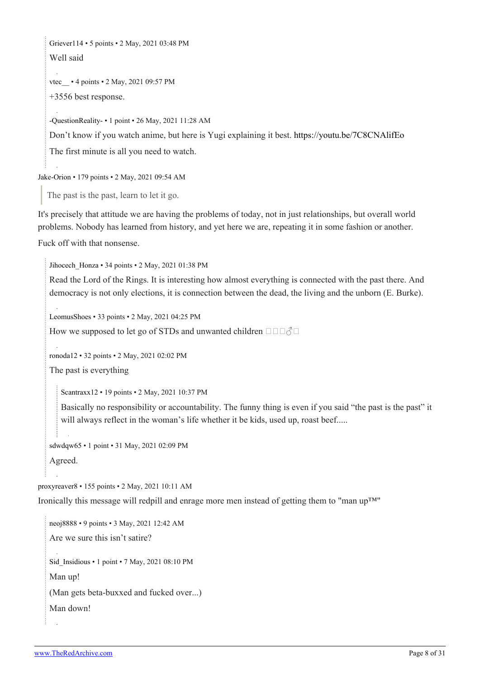[Griever114](https://old.reddit.com/user/Griever114) • 5 points • 2 May, 2021 03:48 PM

Well said

vtec • 4 points • 2 May, 2021 09:57 PM +3556 best response.

[-QuestionReality-](https://old.reddit.com/user/-QuestionReality-) • 1 point • 26 May, 2021 11:28 AM

Don't know if you watch anime, but here is Yugi explaining it best. <https://youtu.be/7C8CNAlifEo>

The first minute is all you need to watch.

[Jake-Orion](https://old.reddit.com/user/Jake-Orion) • 179 points • 2 May, 2021 09:54 AM

The past is the past, learn to let it go.

It's precisely that attitude we are having the problems of today, not in just relationships, but overall world problems. Nobody has learned from history, and yet here we are, repeating it in some fashion or another. Fuck off with that nonsense.

Jihocech Honza • 34 points • 2 May, 2021 01:38 PM

Read the Lord of the Rings. It is interesting how almost everything is connected with the past there. And democracy is not only elections, it is connection between the dead, the living and the unborn (E. Burke).

[LeomusShoes](https://old.reddit.com/user/LeomusShoes) • 33 points • 2 May, 2021 04:25 PM

How we supposed to let go of STDs and unwanted children  $\Box$  $\Box$  $\Diamond$  $\Box$ 

[ronoda12](https://old.reddit.com/user/ronoda12) • 32 points • 2 May, 2021 02:02 PM

The past is everything

[Scantraxx12](https://old.reddit.com/user/Scantraxx12) • 19 points • 2 May, 2021 10:37 PM

Basically no responsibility or accountability. The funny thing is even if you said "the past is the past" it will always reflect in the woman's life whether it be kids, used up, roast beef.....

[sdwdqw65](https://old.reddit.com/user/sdwdqw65) • 1 point • 31 May, 2021 02:09 PM Agreed.

[proxyreaver8](https://old.reddit.com/user/proxyreaver8) • 155 points • 2 May, 2021 10:11 AM

Ironically this message will redpill and enrage more men instead of getting them to "man up™"

[neoj8888](https://old.reddit.com/user/neoj8888) • 9 points • 3 May, 2021 12:42 AM Are we sure this isn't satire? Sid Insidious • 1 point • 7 May, 2021 08:10 PM Man up! (Man gets beta-buxxed and fucked over...) Man down!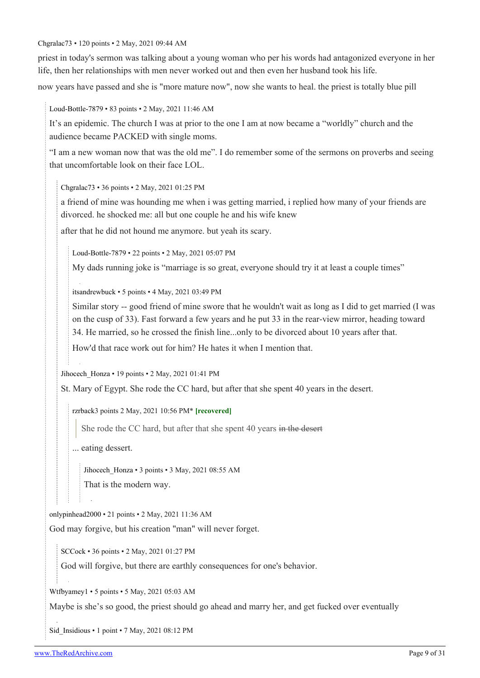#### [Chgralac73](https://old.reddit.com/user/Chgralac73) • 120 points • 2 May, 2021 09:44 AM

priest in today's sermon was talking about a young woman who per his words had antagonized everyone in her life, then her relationships with men never worked out and then even her husband took his life.

now years have passed and she is "more mature now", now she wants to heal. the priest is totally blue pill

[Loud-Bottle-7879](https://old.reddit.com/user/Loud-Bottle-7879) • 83 points • 2 May, 2021 11:46 AM

It's an epidemic. The church I was at prior to the one I am at now became a "worldly" church and the audience became PACKED with single moms.

"I am a new woman now that was the old me". I do remember some of the sermons on proverbs and seeing that uncomfortable look on their face LOL.

[Chgralac73](https://old.reddit.com/user/Chgralac73) • 36 points • 2 May, 2021 01:25 PM

a friend of mine was hounding me when i was getting married, i replied how many of your friends are divorced. he shocked me: all but one couple he and his wife knew

after that he did not hound me anymore. but yeah its scary.

[Loud-Bottle-7879](https://old.reddit.com/user/Loud-Bottle-7879) • 22 points • 2 May, 2021 05:07 PM

My dads running joke is "marriage is so great, everyone should try it at least a couple times"

[itsandrewbuck](https://old.reddit.com/user/itsandrewbuck) • 5 points • 4 May, 2021 03:49 PM

Similar story -- good friend of mine swore that he wouldn't wait as long as I did to get married (I was on the cusp of 33). Fast forward a few years and he put 33 in the rear-view mirror, heading toward 34. He married, so he crossed the finish line...only to be divorced about 10 years after that.

How'd that race work out for him? He hates it when I mention that.

[Jihocech\\_Honza](https://old.reddit.com/user/Jihocech_Honza) • 19 points • 2 May, 2021 01:41 PM

St. Mary of Egypt. She rode the CC hard, but after that she spent 40 years in the desert.

[rzrback](https://old.reddit.com/user/rzrback)3 points 2 May, 2021 10:56 PM\* **[recovered]**

She rode the CC hard, but after that she spent 40 years in the desert

... eating dessert.

[Jihocech\\_Honza](https://old.reddit.com/user/Jihocech_Honza) • 3 points • 3 May, 2021 08:55 AM

That is the modern way.

[onlypinhead2000](https://old.reddit.com/user/onlypinhead2000) • 21 points • 2 May, 2021 11:36 AM God may forgive, but his creation "man" will never forget.

[SCCock](https://old.reddit.com/user/SCCock) • 36 points • 2 May, 2021 01:27 PM

God will forgive, but there are earthly consequences for one's behavior.

[Wtfbyamey1](https://old.reddit.com/user/Wtfbyamey1) • 5 points • 5 May, 2021 05:03 AM

Maybe is she's so good, the priest should go ahead and marry her, and get fucked over eventually

[Sid\\_Insidious](https://old.reddit.com/user/Sid_Insidious) • 1 point • 7 May, 2021 08:12 PM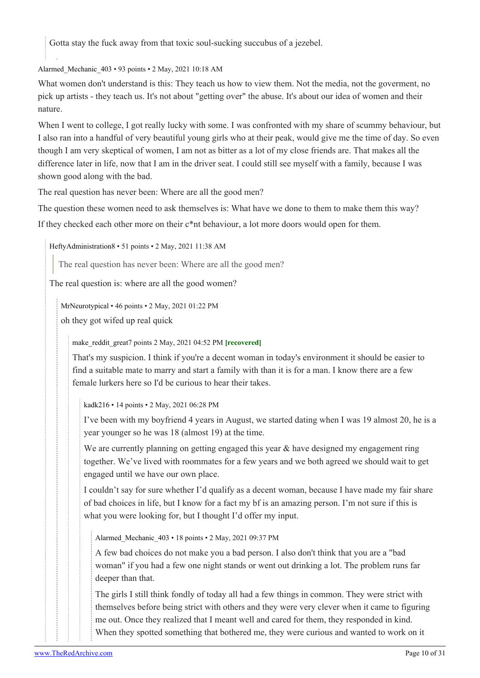Gotta stay the fuck away from that toxic soul-sucking succubus of a jezebel.

[Alarmed\\_Mechanic\\_403](https://old.reddit.com/user/Alarmed_Mechanic_403) • 93 points • 2 May, 2021 10:18 AM

What women don't understand is this: They teach us how to view them. Not the media, not the goverment, no pick up artists - they teach us. It's not about "getting over" the abuse. It's about our idea of women and their nature.

When I went to college, I got really lucky with some. I was confronted with my share of scummy behaviour, but I also ran into a handful of very beautiful young girls who at their peak, would give me the time of day. So even though I am very skeptical of women, I am not as bitter as a lot of my close friends are. That makes all the difference later in life, now that I am in the driver seat. I could still see myself with a family, because I was shown good along with the bad.

The real question has never been: Where are all the good men?

The question these women need to ask themselves is: What have we done to them to make them this way? If they checked each other more on their c\*nt behaviour, a lot more doors would open for them.

[HeftyAdministration8](https://old.reddit.com/user/HeftyAdministration8) • 51 points • 2 May, 2021 11:38 AM

The real question has never been: Where are all the good men?

The real question is: where are all the good women?

[MrNeurotypical](https://old.reddit.com/user/MrNeurotypical) • 46 points • 2 May, 2021 01:22 PM

oh they got wifed up real quick

[make\\_reddit\\_great](https://old.reddit.com/user/make_reddit_great)7 points 2 May, 2021 04:52 PM **[recovered]**

That's my suspicion. I think if you're a decent woman in today's environment it should be easier to find a suitable mate to marry and start a family with than it is for a man. I know there are a few female lurkers here so I'd be curious to hear their takes.

[kadk216](https://old.reddit.com/user/kadk216) • 14 points • 2 May, 2021 06:28 PM

I've been with my boyfriend 4 years in August, we started dating when I was 19 almost 20, he is a year younger so he was 18 (almost 19) at the time.

We are currently planning on getting engaged this year & have designed my engagement ring together. We've lived with roommates for a few years and we both agreed we should wait to get engaged until we have our own place.

I couldn't say for sure whether I'd qualify as a decent woman, because I have made my fair share of bad choices in life, but I know for a fact my bf is an amazing person. I'm not sure if this is what you were looking for, but I thought I'd offer my input.

[Alarmed\\_Mechanic\\_403](https://old.reddit.com/user/Alarmed_Mechanic_403) • 18 points • 2 May, 2021 09:37 PM

A few bad choices do not make you a bad person. I also don't think that you are a "bad woman" if you had a few one night stands or went out drinking a lot. The problem runs far deeper than that.

The girls I still think fondly of today all had a few things in common. They were strict with themselves before being strict with others and they were very clever when it came to figuring me out. Once they realized that I meant well and cared for them, they responded in kind. When they spotted something that bothered me, they were curious and wanted to work on it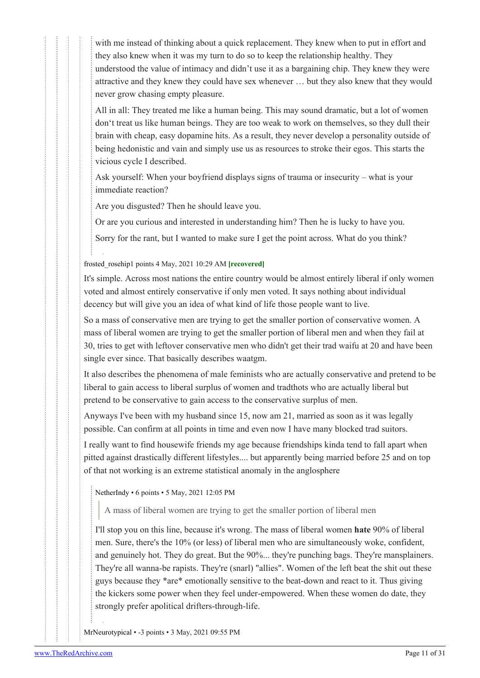with me instead of thinking about a quick replacement. They knew when to put in effort and they also knew when it was my turn to do so to keep the relationship healthy. They understood the value of intimacy and didn't use it as a bargaining chip. They knew they were attractive and they knew they could have sex whenever … but they also knew that they would never grow chasing empty pleasure.

All in all: They treated me like a human being. This may sound dramatic, but a lot of women don't treat us like human beings. They are too weak to work on themselves, so they dull their brain with cheap, easy dopamine hits. As a result, they never develop a personality outside of being hedonistic and vain and simply use us as resources to stroke their egos. This starts the vicious cycle I described.

Ask yourself: When your boyfriend displays signs of trauma or insecurity – what is your immediate reaction?

Are you disgusted? Then he should leave you.

Or are you curious and interested in understanding him? Then he is lucky to have you.

Sorry for the rant, but I wanted to make sure I get the point across. What do you think?

[frosted\\_rosehip1](https://old.reddit.com/user/frosted_rosehip) points 4 May, 2021 10:29 AM **[recovered]**

It's simple. Across most nations the entire country would be almost entirely liberal if only women voted and almost entirely conservative if only men voted. It says nothing about individual decency but will give you an idea of what kind of life those people want to live.

So a mass of conservative men are trying to get the smaller portion of conservative women. A mass of liberal women are trying to get the smaller portion of liberal men and when they fail at 30, tries to get with leftover conservative men who didn't get their trad waifu at 20 and have been single ever since. That basically describes waatgm.

It also describes the phenomena of male feminists who are actually conservative and pretend to be liberal to gain access to liberal surplus of women and tradthots who are actually liberal but pretend to be conservative to gain access to the conservative surplus of men.

Anyways I've been with my husband since 15, now am 21, married as soon as it was legally possible. Can confirm at all points in time and even now I have many blocked trad suitors.

I really want to find housewife friends my age because friendships kinda tend to fall apart when pitted against drastically different lifestyles.... but apparently being married before 25 and on top of that not working is an extreme statistical anomaly in the anglosphere

[NetherIndy](https://old.reddit.com/user/NetherIndy) • 6 points • 5 May, 2021 12:05 PM

A mass of liberal women are trying to get the smaller portion of liberal men

I'll stop you on this line, because it's wrong. The mass of liberal women **hate** 90% of liberal men. Sure, there's the 10% (or less) of liberal men who are simultaneously woke, confident, and genuinely hot. They do great. But the 90%... they're punching bags. They're mansplainers. They're all wanna-be rapists. They're (snarl) "allies". Women of the left beat the shit out these guys because they \*are\* emotionally sensitive to the beat-down and react to it. Thus giving the kickers some power when they feel under-empowered. When these women do date, they strongly prefer apolitical drifters-through-life.

[MrNeurotypical](https://old.reddit.com/user/MrNeurotypical) • -3 points • 3 May, 2021 09:55 PM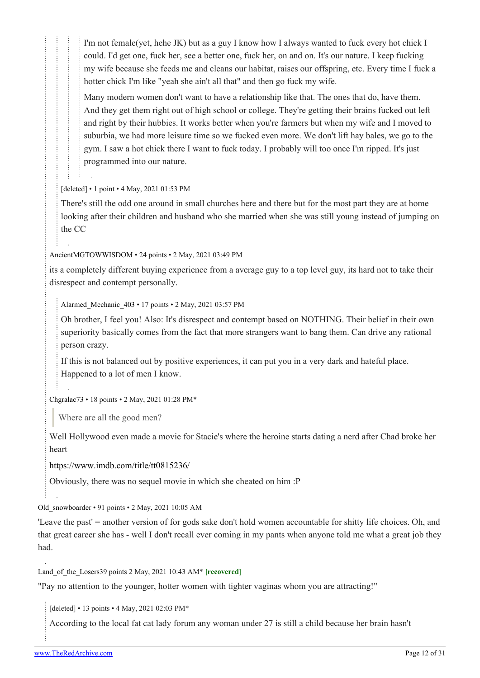I'm not female(yet, hehe JK) but as a guy I know how I always wanted to fuck every hot chick I could. I'd get one, fuck her, see a better one, fuck her, on and on. It's our nature. I keep fucking my wife because she feeds me and cleans our habitat, raises our offspring, etc. Every time I fuck a hotter chick I'm like "yeah she ain't all that" and then go fuck my wife.

Many modern women don't want to have a relationship like that. The ones that do, have them. And they get them right out of high school or college. They're getting their brains fucked out left and right by their hubbies. It works better when you're farmers but when my wife and I moved to suburbia, we had more leisure time so we fucked even more. We don't lift hay bales, we go to the gym. I saw a hot chick there I want to fuck today. I probably will too once I'm ripped. It's just programmed into our nature.

[deleted] • 1 point • 4 May, 2021 01:53 PM

There's still the odd one around in small churches here and there but for the most part they are at home looking after their children and husband who she married when she was still young instead of jumping on the CC

[AncientMGTOWWISDOM](https://old.reddit.com/user/AncientMGTOWWISDOM) • 24 points • 2 May, 2021 03:49 PM

its a completely different buying experience from a average guy to a top level guy, its hard not to take their disrespect and contempt personally.

[Alarmed\\_Mechanic\\_403](https://old.reddit.com/user/Alarmed_Mechanic_403) • 17 points • 2 May, 2021 03:57 PM

Oh brother, I feel you! Also: It's disrespect and contempt based on NOTHING. Their belief in their own superiority basically comes from the fact that more strangers want to bang them. Can drive any rational person crazy.

If this is not balanced out by positive experiences, it can put you in a very dark and hateful place. Happened to a lot of men I know.

[Chgralac73](https://old.reddit.com/user/Chgralac73) • 18 points • 2 May, 2021 01:28 PM\*

Where are all the good men?

Well Hollywood even made a movie for Stacie's where the heroine starts dating a nerd after Chad broke her heart

<https://www.imdb.com/title/tt0815236/>

Obviously, there was no sequel movie in which she cheated on him :P

[Old\\_snowboarder](https://old.reddit.com/user/Old_snowboarder) • 91 points • 2 May, 2021 10:05 AM

'Leave the past' = another version of for gods sake don't hold women accountable for shitty life choices. Oh, and that great career she has - well I don't recall ever coming in my pants when anyone told me what a great job they had.

[Land\\_of\\_the\\_Losers](https://old.reddit.com/user/Land_of_the_Losers)39 points 2 May, 2021 10:43 AM\* **[recovered]**

"Pay no attention to the younger, hotter women with tighter vaginas whom you are attracting!"

[deleted] • 13 points • 4 May, 2021 02:03 PM\*

According to the local fat cat lady forum any woman under 27 is still a child because her brain hasn't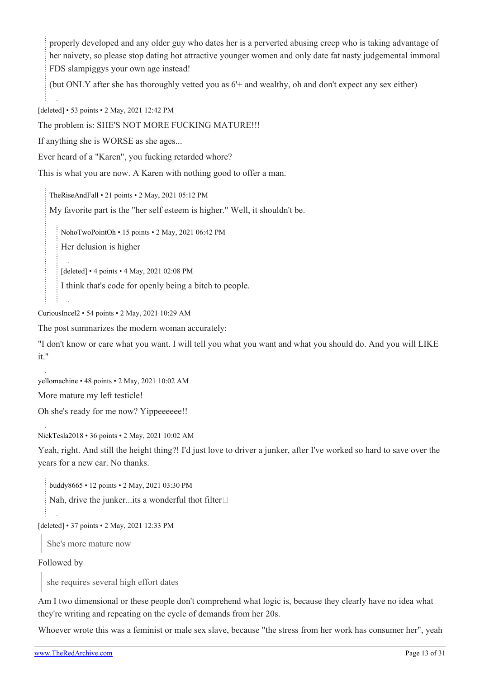properly developed and any older guy who dates her is a perverted abusing creep who is taking advantage of her naivety, so please stop dating hot attractive younger women and only date fat nasty judgemental immoral FDS slampiggys your own age instead!

(but ONLY after she has thoroughly vetted you as 6'+ and wealthy, oh and don't expect any sex either)

[deleted] • 53 points • 2 May, 2021 12:42 PM

The problem is: SHE'S NOT MORE FUCKING MATURE!!!

If anything she is WORSE as she ages...

Ever heard of a "Karen", you fucking retarded whore?

This is what you are now. A Karen with nothing good to offer a man.

[TheRiseAndFall](https://old.reddit.com/user/TheRiseAndFall) • 21 points • 2 May, 2021 05:12 PM

My favorite part is the "her self esteem is higher." Well, it shouldn't be.

[NohoTwoPointOh](https://old.reddit.com/user/NohoTwoPointOh) • 15 points • 2 May, 2021 06:42 PM

Her delusion is higher

[deleted] • 4 points • 4 May, 2021 02:08 PM

I think that's code for openly being a bitch to people.

[CuriousIncel2](https://old.reddit.com/user/CuriousIncel2) • 54 points • 2 May, 2021 10:29 AM

The post summarizes the modern woman accurately:

"I don't know or care what you want. I will tell you what you want and what you should do. And you will LIKE it."

[yellomachine](https://old.reddit.com/user/yellomachine) • 48 points • 2 May, 2021 10:02 AM

More mature my left testicle!

Oh she's ready for me now? Yippeeeeee!!

[NickTesla2018](https://old.reddit.com/user/NickTesla2018) • 36 points • 2 May, 2021 10:02 AM

Yeah, right. And still the height thing?! I'd just love to driver a junker, after I've worked so hard to save over the years for a new car. No thanks.

[buddy8665](https://old.reddit.com/user/buddy8665) • 12 points • 2 May, 2021 03:30 PM

Nah, drive the junker...its a wonderful thot filter $\square$ 

[deleted] • 37 points • 2 May, 2021 12:33 PM

She's more mature now

Followed by

she requires several high effort dates

Am I two dimensional or these people don't comprehend what logic is, because they clearly have no idea what they're writing and repeating on the cycle of demands from her 20s.

Whoever wrote this was a feminist or male sex slave, because "the stress from her work has consumer her", yeah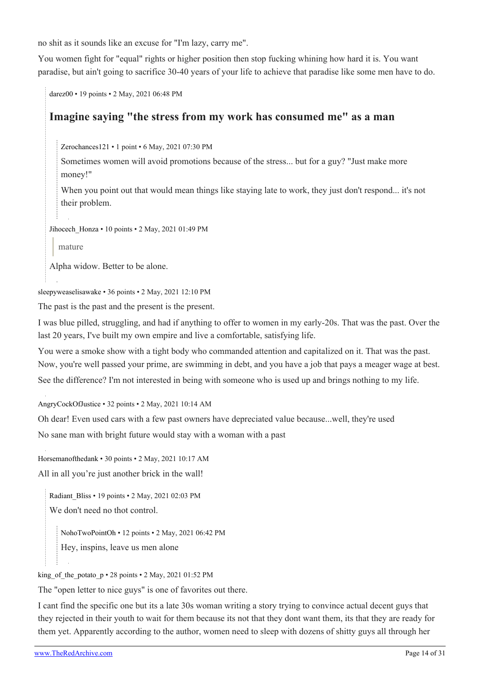no shit as it sounds like an excuse for "I'm lazy, carry me".

You women fight for "equal" rights or higher position then stop fucking whining how hard it is. You want paradise, but ain't going to sacrifice 30-40 years of your life to achieve that paradise like some men have to do.

[darez00](https://old.reddit.com/user/darez00) • 19 points • 2 May, 2021 06:48 PM

# **Imagine saying "the stress from my work has consumed me" as a man**

[Zerochances121](https://old.reddit.com/user/Zerochances121) • 1 point • 6 May, 2021 07:30 PM

Sometimes women will avoid promotions because of the stress... but for a guy? "Just make more money!"

When you point out that would mean things like staying late to work, they just don't respond... it's not their problem.

[Jihocech\\_Honza](https://old.reddit.com/user/Jihocech_Honza) • 10 points • 2 May, 2021 01:49 PM

mature

Alpha widow. Better to be alone.

[sleepyweaselisawake](https://old.reddit.com/user/sleepyweaselisawake) • 36 points • 2 May, 2021 12:10 PM

The past is the past and the present is the present.

I was blue pilled, struggling, and had if anything to offer to women in my early-20s. That was the past. Over the last 20 years, I've built my own empire and live a comfortable, satisfying life.

You were a smoke show with a tight body who commanded attention and capitalized on it. That was the past. Now, you're well passed your prime, are swimming in debt, and you have a job that pays a meager wage at best. See the difference? I'm not interested in being with someone who is used up and brings nothing to my life.

[AngryCockOfJustice](https://old.reddit.com/user/AngryCockOfJustice) • 32 points • 2 May, 2021 10:14 AM

Oh dear! Even used cars with a few past owners have depreciated value because...well, they're used

No sane man with bright future would stay with a woman with a past

[Horsemanofthedank](https://old.reddit.com/user/Horsemanofthedank) • 30 points • 2 May, 2021 10:17 AM All in all you're just another brick in the wall!

[Radiant\\_Bliss](https://old.reddit.com/user/Radiant_Bliss) • 19 points • 2 May, 2021 02:03 PM We don't need no thot control.

[NohoTwoPointOh](https://old.reddit.com/user/NohoTwoPointOh) • 12 points • 2 May, 2021 06:42 PM

Hey, inspins, leave us men alone

[king\\_of\\_the\\_potato\\_p](https://old.reddit.com/user/king_of_the_potato_p) • 28 points • 2 May, 2021 01:52 PM

The "open letter to nice guys" is one of favorites out there.

I cant find the specific one but its a late 30s woman writing a story trying to convince actual decent guys that they rejected in their youth to wait for them because its not that they dont want them, its that they are ready for them yet. Apparently according to the author, women need to sleep with dozens of shitty guys all through her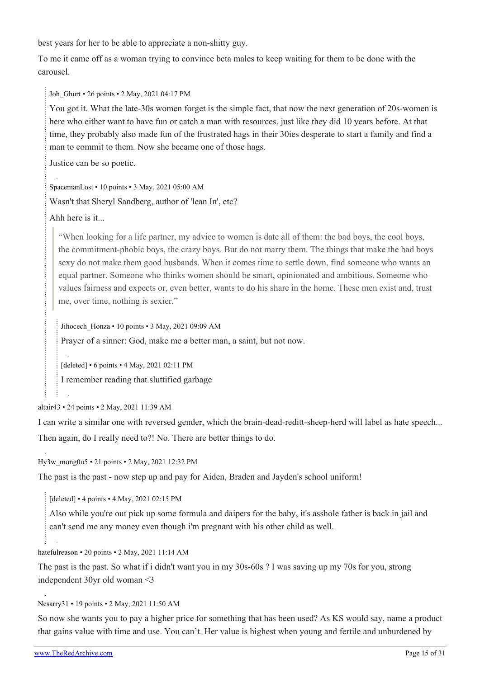best years for her to be able to appreciate a non-shitty guy.

To me it came off as a woman trying to convince beta males to keep waiting for them to be done with the carousel.

Joh Ghurt • 26 points • 2 May, 2021 04:17 PM

You got it. What the late-30s women forget is the simple fact, that now the next generation of 20s-women is here who either want to have fun or catch a man with resources, just like they did 10 years before. At that time, they probably also made fun of the frustrated hags in their 30ies desperate to start a family and find a man to commit to them. Now she became one of those hags.

Justice can be so poetic.

[SpacemanLost](https://old.reddit.com/user/SpacemanLost) • 10 points • 3 May, 2021 05:00 AM Wasn't that Sheryl Sandberg, author of 'lean In', etc?

Ahh here is it...

"When looking for a life partner, my advice to women is date all of them: the bad boys, the cool boys, the commitment-phobic boys, the crazy boys. But do not marry them. The things that make the bad boys sexy do not make them good husbands. When it comes time to settle down, find someone who wants an equal partner. Someone who thinks women should be smart, opinionated and ambitious. Someone who values fairness and expects or, even better, wants to do his share in the home. These men exist and, trust me, over time, nothing is sexier."

[Jihocech\\_Honza](https://old.reddit.com/user/Jihocech_Honza) • 10 points • 3 May, 2021 09:09 AM Prayer of a sinner: God, make me a better man, a saint, but not now.

[deleted] • 6 points • 4 May, 2021 02:11 PM

I remember reading that sluttified garbage

[altair43](https://old.reddit.com/user/altair43) • 24 points • 2 May, 2021 11:39 AM

I can write a similar one with reversed gender, which the brain-dead-reditt-sheep-herd will label as hate speech... Then again, do I really need to?! No. There are better things to do.

[Hy3w\\_mong0u5](https://old.reddit.com/user/Hy3w_mong0u5) • 21 points • 2 May, 2021 12:32 PM

The past is the past - now step up and pay for Aiden, Braden and Jayden's school uniform!

[deleted] • 4 points • 4 May, 2021 02:15 PM

Also while you're out pick up some formula and daipers for the baby, it's asshole father is back in jail and can't send me any money even though i'm pregnant with his other child as well.

[hatefulreason](https://old.reddit.com/user/hatefulreason) • 20 points • 2 May, 2021 11:14 AM

The past is the past. So what if i didn't want you in my 30s-60s ? I was saving up my 70s for you, strong independent 30yr old woman <3

[Nesarry31](https://old.reddit.com/user/Nesarry31) • 19 points • 2 May, 2021 11:50 AM

So now she wants you to pay a higher price for something that has been used? As KS would say, name a product that gains value with time and use. You can't. Her value is highest when young and fertile and unburdened by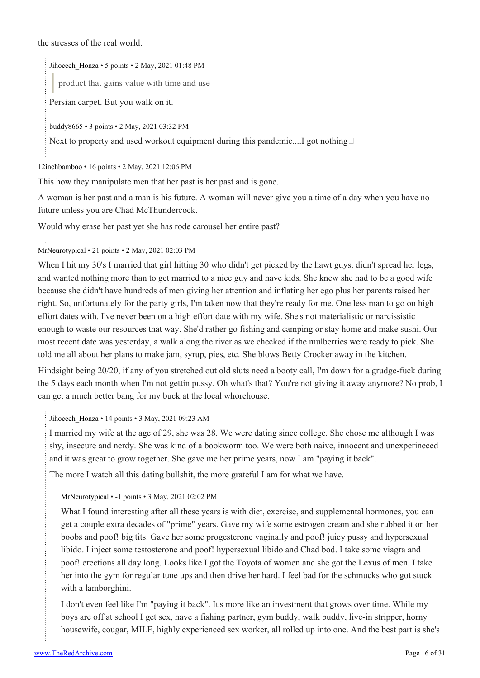the stresses of the real world.

[Jihocech\\_Honza](https://old.reddit.com/user/Jihocech_Honza) • 5 points • 2 May, 2021 01:48 PM

product that gains value with time and use

Persian carpet. But you walk on it.

[buddy8665](https://old.reddit.com/user/buddy8665) • 3 points • 2 May, 2021 03:32 PM

Next to property and used workout equipment during this pandemic.... got nothing

[12inchbamboo](https://old.reddit.com/user/12inchbamboo) • 16 points • 2 May, 2021 12:06 PM

This how they manipulate men that her past is her past and is gone.

A woman is her past and a man is his future. A woman will never give you a time of a day when you have no future unless you are Chad McThundercock.

Would why erase her past yet she has rode carousel her entire past?

#### [MrNeurotypical](https://old.reddit.com/user/MrNeurotypical) • 21 points • 2 May, 2021 02:03 PM

When I hit my 30's I married that girl hitting 30 who didn't get picked by the hawt guys, didn't spread her legs, and wanted nothing more than to get married to a nice guy and have kids. She knew she had to be a good wife because she didn't have hundreds of men giving her attention and inflating her ego plus her parents raised her right. So, unfortunately for the party girls, I'm taken now that they're ready for me. One less man to go on high effort dates with. I've never been on a high effort date with my wife. She's not materialistic or narcissistic enough to waste our resources that way. She'd rather go fishing and camping or stay home and make sushi. Our most recent date was yesterday, a walk along the river as we checked if the mulberries were ready to pick. She told me all about her plans to make jam, syrup, pies, etc. She blows Betty Crocker away in the kitchen.

Hindsight being 20/20, if any of you stretched out old sluts need a booty call, I'm down for a grudge-fuck during the 5 days each month when I'm not gettin pussy. Oh what's that? You're not giving it away anymore? No prob, I can get a much better bang for my buck at the local whorehouse.

[Jihocech\\_Honza](https://old.reddit.com/user/Jihocech_Honza) • 14 points • 3 May, 2021 09:23 AM

I married my wife at the age of 29, she was 28. We were dating since college. She chose me although I was shy, insecure and nerdy. She was kind of a bookworm too. We were both naive, innocent and unexperineced and it was great to grow together. She gave me her prime years, now I am "paying it back".

The more I watch all this dating bullshit, the more grateful I am for what we have.

## [MrNeurotypical](https://old.reddit.com/user/MrNeurotypical) • -1 points • 3 May, 2021 02:02 PM

What I found interesting after all these years is with diet, exercise, and supplemental hormones, you can get a couple extra decades of "prime" years. Gave my wife some estrogen cream and she rubbed it on her boobs and poof! big tits. Gave her some progesterone vaginally and poof! juicy pussy and hypersexual libido. I inject some testosterone and poof! hypersexual libido and Chad bod. I take some viagra and poof! erections all day long. Looks like I got the Toyota of women and she got the Lexus of men. I take her into the gym for regular tune ups and then drive her hard. I feel bad for the schmucks who got stuck with a lamborghini.

I don't even feel like I'm "paying it back". It's more like an investment that grows over time. While my boys are off at school I get sex, have a fishing partner, gym buddy, walk buddy, live-in stripper, horny housewife, cougar, MILF, highly experienced sex worker, all rolled up into one. And the best part is she's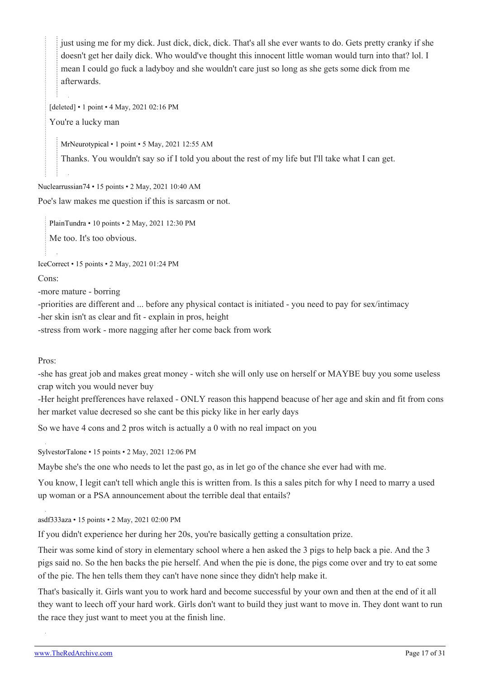just using me for my dick. Just dick, dick, dick. That's all she ever wants to do. Gets pretty cranky if she doesn't get her daily dick. Who would've thought this innocent little woman would turn into that? lol. I mean I could go fuck a ladyboy and she wouldn't care just so long as she gets some dick from me afterwards.

[deleted] • 1 point • 4 May, 2021 02:16 PM

You're a lucky man

[MrNeurotypical](https://old.reddit.com/user/MrNeurotypical) • 1 point • 5 May, 2021 12:55 AM

Thanks. You wouldn't say so if I told you about the rest of my life but I'll take what I can get.

#### [Nuclearrussian74](https://old.reddit.com/user/Nuclearrussian74) • 15 points • 2 May, 2021 10:40 AM

Poe's law makes me question if this is sarcasm or not.

[PlainTundra](https://old.reddit.com/user/PlainTundra) • 10 points • 2 May, 2021 12:30 PM

Me too. It's too obvious.

[IceCorrect](https://old.reddit.com/user/IceCorrect) • 15 points • 2 May, 2021 01:24 PM

Cons:

-more mature - borring

-priorities are different and ... before any physical contact is initiated - you need to pay for sex/intimacy -her skin isn't as clear and fit - explain in pros, height

-stress from work - more nagging after her come back from work

#### Pros:

-she has great job and makes great money - witch she will only use on herself or MAYBE buy you some useless crap witch you would never buy

-Her height prefferences have relaxed - ONLY reason this happend beacuse of her age and skin and fit from cons her market value decresed so she cant be this picky like in her early days

So we have 4 cons and 2 pros witch is actually a 0 with no real impact on you

[SylvestorTalone](https://old.reddit.com/user/SylvestorTalone) • 15 points • 2 May, 2021 12:06 PM

Maybe she's the one who needs to let the past go, as in let go of the chance she ever had with me.

You know, I legit can't tell which angle this is written from. Is this a sales pitch for why I need to marry a used up woman or a PSA announcement about the terrible deal that entails?

[asdf333aza](https://old.reddit.com/user/asdf333aza) • 15 points • 2 May, 2021 02:00 PM

If you didn't experience her during her 20s, you're basically getting a consultation prize.

Their was some kind of story in elementary school where a hen asked the 3 pigs to help back a pie. And the 3 pigs said no. So the hen backs the pie herself. And when the pie is done, the pigs come over and try to eat some of the pie. The hen tells them they can't have none since they didn't help make it.

That's basically it. Girls want you to work hard and become successful by your own and then at the end of it all they want to leech off your hard work. Girls don't want to build they just want to move in. They dont want to run the race they just want to meet you at the finish line.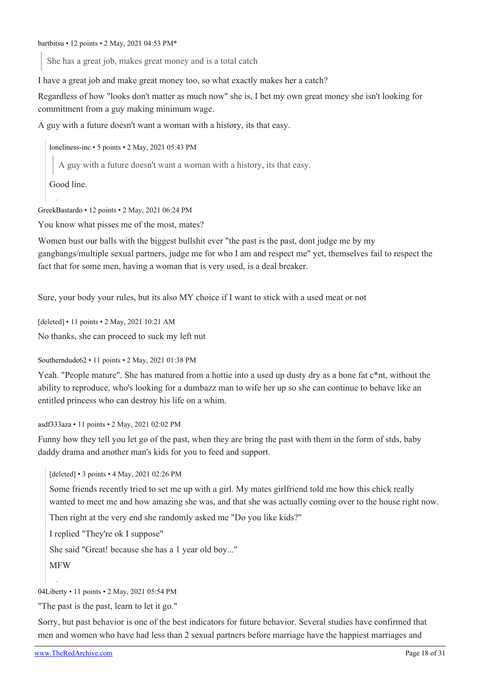She has a great job, makes great money and is a total catch

I have a great job and make great money too, so what exactly makes her a catch?

Regardless of how "looks don't matter as much now" she is, I bet my own great money she isn't looking for commitment from a guy making minimum wage.

A guy with a future doesn't want a woman with a history, its that easy.

[loneliness-inc](https://old.reddit.com/user/loneliness-inc) • 5 points • 2 May, 2021 05:43 PM

A guy with a future doesn't want a woman with a history, its that easy.

Good line.

[GreekBastardo](https://old.reddit.com/user/GreekBastardo) • 12 points • 2 May, 2021 06:24 PM

You know what pisses me of the most, mates?

Women bust our balls with the biggest bullshit ever "the past is the past, dont judge me by my gangbangs/multiple sexual partners, judge me for who I am and respect me" yet, themselves fail to respect the fact that for some men, having a woman that is very used, is a deal breaker.

Sure, your body your rules, but its also MY choice if I want to stick with a used meat or not

[deleted] • 11 points • 2 May, 2021 10:21 AM

No thanks, she can proceed to suck my left nut

[Southerndude62](https://old.reddit.com/user/Southerndude62) • 11 points • 2 May, 2021 01:38 PM

Yeah. "People mature". She has matured from a hottie into a used up dusty dry as a bone fat c\*nt, without the ability to reproduce, who's looking for a dumbazz man to wife her up so she can continue to behave like an entitled princess who can destroy his life on a whim.

[asdf333aza](https://old.reddit.com/user/asdf333aza) • 11 points • 2 May, 2021 02:02 PM

Funny how they tell you let go of the past, when they are bring the past with them in the form of stds, baby daddy drama and another man's kids for you to feed and support.

[deleted] • 3 points • 4 May, 2021 02:26 PM

Some friends recently tried to set me up with a girl. My mates girlfriend told me how this chick really wanted to meet me and how amazing she was, and that she was actually coming over to the house right now.

Then right at the very end she randomly asked me "Do you like kids?"

I replied "They're ok I suppose"

She said "Great! because she has a 1 year old boy..."

MFW

[04Liberty](https://old.reddit.com/user/04Liberty) • 11 points • 2 May, 2021 05:54 PM

"The past is the past, learn to let it go."

Sorry, but past behavior is one of the best indicators for future behavior. Several studies have confirmed that men and women who have had less than 2 sexual partners before marriage have the happiest marriages and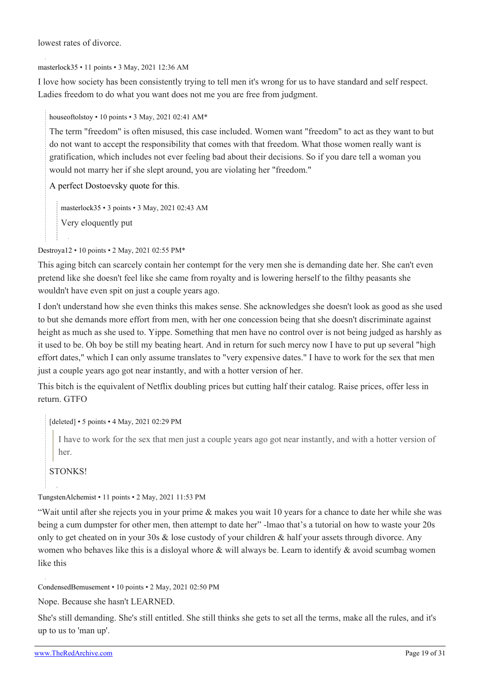lowest rates of divorce.

[masterlock35](https://old.reddit.com/user/masterlock35) • 11 points • 3 May, 2021 12:36 AM

I love how society has been consistently trying to tell men it's wrong for us to have standard and self respect. Ladies freedom to do what you want does not me you are free from judgment.

[houseoftolstoy](https://old.reddit.com/user/houseoftolstoy) • 10 points • 3 May, 2021 02:41 AM\*

The term "freedom" is often misused, this case included. Women want "freedom" to act as they want to but do not want to accept the responsibility that comes with that freedom. What those women really want is gratification, which includes not ever feeling bad about their decisions. So if you dare tell a woman you would not marry her if she slept around, you are violating her "freedom."

[A perfect Dostoevsky quote for this](https://www.azquotes.com/quote/1270333).

[masterlock35](https://old.reddit.com/user/masterlock35) • 3 points • 3 May, 2021 02:43 AM Very eloquently put

[Destroya12](https://old.reddit.com/user/Destroya12) • 10 points • 2 May, 2021 02:55 PM\*

This aging bitch can scarcely contain her contempt for the very men she is demanding date her. She can't even pretend like she doesn't feel like she came from royalty and is lowering herself to the filthy peasants she wouldn't have even spit on just a couple years ago.

I don't understand how she even thinks this makes sense. She acknowledges she doesn't look as good as she used to but she demands more effort from men, with her one concession being that she doesn't discriminate against height as much as she used to. Yippe. Something that men have no control over is not being judged as harshly as it used to be. Oh boy be still my beating heart. And in return for such mercy now I have to put up several "high effort dates," which I can only assume translates to "very expensive dates." I have to work for the sex that men just a couple years ago got near instantly, and with a hotter version of her.

This bitch is the equivalent of Netflix doubling prices but cutting half their catalog. Raise prices, offer less in return. GTFO

[deleted] • 5 points • 4 May, 2021 02:29 PM

I have to work for the sex that men just a couple years ago got near instantly, and with a hotter version of her.

STONKS!

[TungstenAlchemist](https://old.reddit.com/user/TungstenAlchemist) • 11 points • 2 May, 2021 11:53 PM

"Wait until after she rejects you in your prime & makes you wait 10 years for a chance to date her while she was being a cum dumpster for other men, then attempt to date her" -lmao that's a tutorial on how to waste your 20s only to get cheated on in your 30s & lose custody of your children & half your assets through divorce. Any women who behaves like this is a disloyal whore & will always be. Learn to identify & avoid scumbag women like this

[CondensedBemusement](https://old.reddit.com/user/CondensedBemusement) • 10 points • 2 May, 2021 02:50 PM

Nope. Because she hasn't LEARNED.

She's still demanding. She's still entitled. She still thinks she gets to set all the terms, make all the rules, and it's up to us to 'man up'.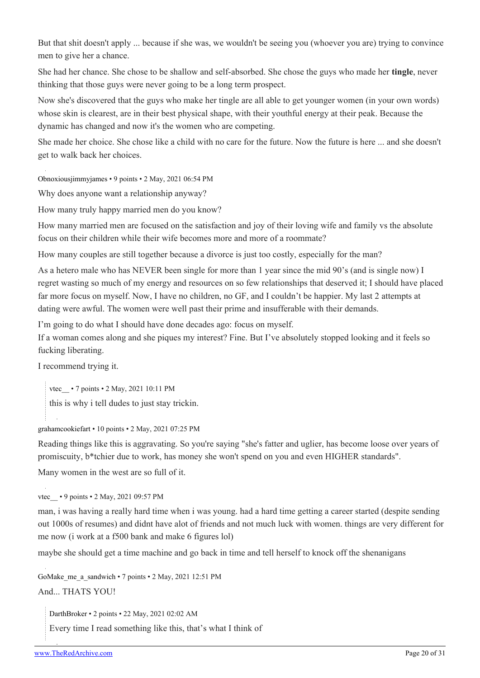But that shit doesn't apply ... because if she was, we wouldn't be seeing you (whoever you are) trying to convince men to give her a chance.

She had her chance. She chose to be shallow and self-absorbed. She chose the guys who made her **tingle**, never thinking that those guys were never going to be a long term prospect.

Now she's discovered that the guys who make her tingle are all able to get younger women (in your own words) whose skin is clearest, are in their best physical shape, with their youthful energy at their peak. Because the dynamic has changed and now it's the women who are competing.

She made her choice. She chose like a child with no care for the future. Now the future is here ... and she doesn't get to walk back her choices.

[Obnoxiousjimmyjames](https://old.reddit.com/user/Obnoxiousjimmyjames) • 9 points • 2 May, 2021 06:54 PM

Why does anyone want a relationship anyway?

How many truly happy married men do you know?

How many married men are focused on the satisfaction and joy of their loving wife and family vs the absolute focus on their children while their wife becomes more and more of a roommate?

How many couples are still together because a divorce is just too costly, especially for the man?

As a hetero male who has NEVER been single for more than 1 year since the mid 90's (and is single now) I regret wasting so much of my energy and resources on so few relationships that deserved it; I should have placed far more focus on myself. Now, I have no children, no GF, and I couldn't be happier. My last 2 attempts at dating were awful. The women were well past their prime and insufferable with their demands.

I'm going to do what I should have done decades ago: focus on myself.

If a woman comes along and she piques my interest? Fine. But I've absolutely stopped looking and it feels so fucking liberating.

I recommend trying it.

vtec • 7 points • 2 May, 2021 10:11 PM this is why i tell dudes to just stay trickin.

[grahamcookiefart](https://old.reddit.com/user/grahamcookiefart) • 10 points • 2 May, 2021 07:25 PM

Reading things like this is aggravating. So you're saying "she's fatter and uglier, has become loose over years of promiscuity, b\*tchier due to work, has money she won't spend on you and even HIGHER standards".

Many women in the west are so full of it.

vtec • 9 points • 2 May, 2021 09:57 PM

man, i was having a really hard time when i was young. had a hard time getting a career started (despite sending out 1000s of resumes) and didnt have alot of friends and not much luck with women. things are very different for me now (i work at a f500 bank and make 6 figures lol)

maybe she should get a time machine and go back in time and tell herself to knock off the shenanigans

[GoMake\\_me\\_a\\_sandwich](https://old.reddit.com/user/GoMake_me_a_sandwich) • 7 points • 2 May, 2021 12:51 PM

And... THATS YOU!

[DarthBroker](https://old.reddit.com/user/DarthBroker) • 2 points • 22 May, 2021 02:02 AM

Every time I read something like this, that's what I think of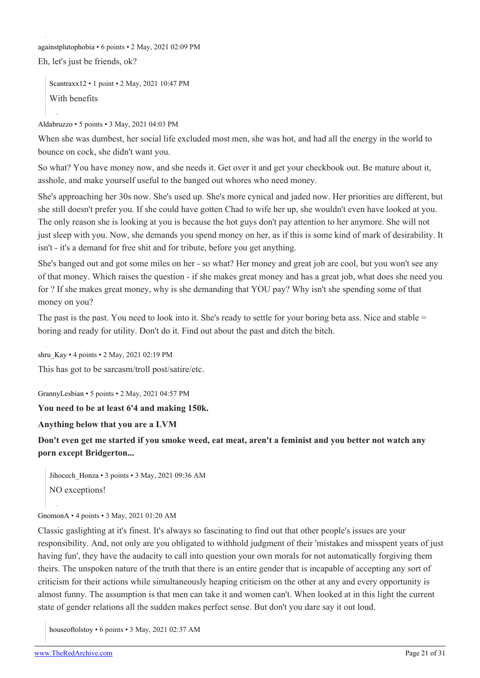[againstplutophobia](https://old.reddit.com/user/againstplutophobia) • 6 points • 2 May, 2021 02:09 PM

Eh, let's just be friends, ok?

[Scantraxx12](https://old.reddit.com/user/Scantraxx12) • 1 point • 2 May, 2021 10:47 PM With benefits

[Aldabruzzo](https://old.reddit.com/user/Aldabruzzo) • 5 points • 3 May, 2021 04:03 PM

When she was dumbest, her social life excluded most men, she was hot, and had all the energy in the world to bounce on cock, she didn't want you.

So what? You have money now, and she needs it. Get over it and get your checkbook out. Be mature about it, asshole, and make yourself useful to the banged out whores who need money.

She's approaching her 30s now. She's used up. She's more cynical and jaded now. Her priorities are different, but she still doesn't prefer you. If she could have gotten Chad to wife her up, she wouldn't even have looked at you. The only reason she is looking at you is because the hot guys don't pay attention to her anymore. She will not just sleep with you. Now, she demands you spend money on her, as if this is some kind of mark of desirability. It isn't - it's a demand for free shit and for tribute, before you get anything.

She's banged out and got some miles on her - so what? Her money and great job are cool, but you won't see any of that money. Which raises the question - if she makes great money and has a great job, what does she need you for ? If she makes great money, why is she demanding that YOU pay? Why isn't she spending some of that money on you?

The past is the past. You need to look into it. She's ready to settle for your boring beta ass. Nice and stable = boring and ready for utility. Don't do it. Find out about the past and ditch the bitch.

shru Kay • 4 points • 2 May, 2021 02:19 PM

This has got to be sarcasm/troll post/satire/etc.

[GrannyLesbian](https://old.reddit.com/user/GrannyLesbian) • 5 points • 2 May, 2021 04:57 PM

**You need to be at least 6'4 and making 150k.**

**Anything below that you are a LVM**

**Don't even get me started if you smoke weed, eat meat, aren't a feminist and you better not watch any porn except Bridgerton...**

Jihocech Honza • 3 points • 3 May, 2021 09:36 AM NO exceptions!

#### [GnomonA](https://old.reddit.com/user/GnomonA) • 4 points • 3 May, 2021 01:20 AM

Classic gaslighting at it's finest. It's always so fascinating to find out that other people's issues are your responsibility. And, not only are you obligated to withhold judgment of their 'mistakes and misspent years of just having fun', they have the audacity to call into question your own morals for not automatically forgiving them theirs. The unspoken nature of the truth that there is an entire gender that is incapable of accepting any sort of criticism for their actions while simultaneously heaping criticism on the other at any and every opportunity is almost funny. The assumption is that men can take it and women can't. When looked at in this light the current state of gender relations all the sudden makes perfect sense. But don't you dare say it out loud.

[houseoftolstoy](https://old.reddit.com/user/houseoftolstoy) • 6 points • 3 May, 2021 02:37 AM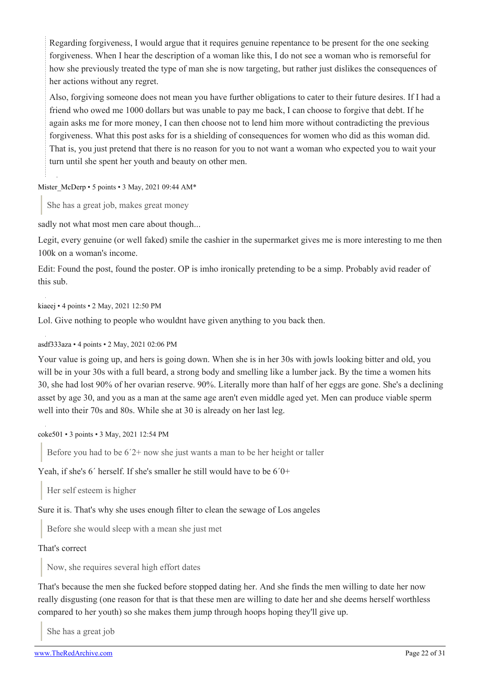Regarding forgiveness, I would argue that it requires genuine repentance to be present for the one seeking forgiveness. When I hear the description of a woman like this, I do not see a woman who is remorseful for how she previously treated the type of man she is now targeting, but rather just dislikes the consequences of her actions without any regret.

Also, forgiving someone does not mean you have further obligations to cater to their future desires. If I had a friend who owed me 1000 dollars but was unable to pay me back, I can choose to forgive that debt. If he again asks me for more money, I can then choose not to lend him more without contradicting the previous forgiveness. What this post asks for is a shielding of consequences for women who did as this woman did. That is, you just pretend that there is no reason for you to not want a woman who expected you to wait your turn until she spent her youth and beauty on other men.

#### [Mister\\_McDerp](https://old.reddit.com/user/Mister_McDerp) • 5 points • 3 May, 2021 09:44 AM\*

She has a great job, makes great money

sadly not what most men care about though...

Legit, every genuine (or well faked) smile the cashier in the supermarket gives me is more interesting to me then 100k on a woman's income.

Edit: Found the post, found the poster. OP is imho ironically pretending to be a simp. Probably avid reader of this sub.

[kiaeej](https://old.reddit.com/user/kiaeej) • 4 points • 2 May, 2021 12:50 PM

Lol. Give nothing to people who wouldnt have given anything to you back then.

#### [asdf333aza](https://old.reddit.com/user/asdf333aza) • 4 points • 2 May, 2021 02:06 PM

Your value is going up, and hers is going down. When she is in her 30s with jowls looking bitter and old, you will be in your 30s with a full beard, a strong body and smelling like a lumber jack. By the time a women hits 30, she had lost 90% of her ovarian reserve. 90%. Literally more than half of her eggs are gone. She's a declining asset by age 30, and you as a man at the same age aren't even middle aged yet. Men can produce viable sperm well into their 70s and 80s. While she at 30 is already on her last leg.

[coke501](https://old.reddit.com/user/coke501) • 3 points • 3 May, 2021 12:54 PM

Before you had to be  $6'2$ + now she just wants a man to be her height or taller

Yeah, if she's 6´ herself. If she's smaller he still would have to be 6´0+

Her self esteem is higher

Sure it is. That's why she uses enough filter to clean the sewage of Los angeles

Before she would sleep with a mean she just met

#### That's correct

Now, she requires several high effort dates

That's because the men she fucked before stopped dating her. And she finds the men willing to date her now really disgusting (one reason for that is that these men are willing to date her and she deems herself worthless compared to her youth) so she makes them jump through hoops hoping they'll give up.

She has a great job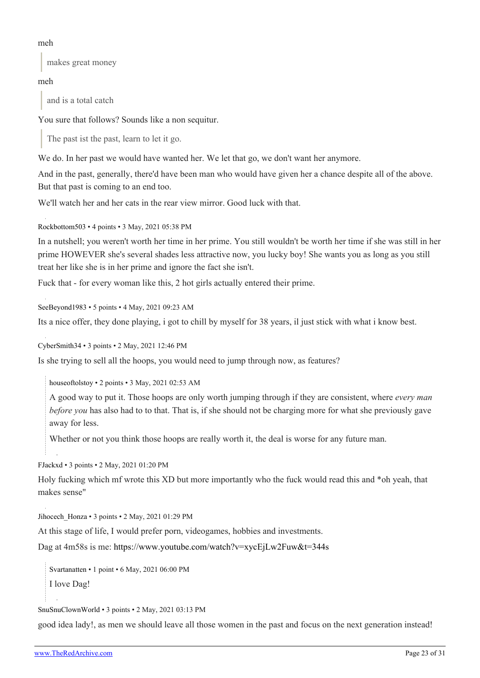#### meh

makes great money

# meh

and is a total catch

You sure that follows? Sounds like a non sequitur.

The past ist the past, learn to let it go.

We do. In her past we would have wanted her. We let that go, we don't want her anymore.

And in the past, generally, there'd have been man who would have given her a chance despite all of the above. But that past is coming to an end too.

We'll watch her and her cats in the rear view mirror. Good luck with that.

[Rockbottom503](https://old.reddit.com/user/Rockbottom503) • 4 points • 3 May, 2021 05:38 PM

In a nutshell; you weren't worth her time in her prime. You still wouldn't be worth her time if she was still in her prime HOWEVER she's several shades less attractive now, you lucky boy! She wants you as long as you still treat her like she is in her prime and ignore the fact she isn't.

Fuck that - for every woman like this, 2 hot girls actually entered their prime.

[SeeBeyond1983](https://old.reddit.com/user/SeeBeyond1983) • 5 points • 4 May, 2021 09:23 AM

Its a nice offer, they done playing, i got to chill by myself for 38 years, il just stick with what i know best.

[CyberSmith34](https://old.reddit.com/user/CyberSmith34) • 3 points • 2 May, 2021 12:46 PM

Is she trying to sell all the hoops, you would need to jump through now, as features?

[houseoftolstoy](https://old.reddit.com/user/houseoftolstoy) • 2 points • 3 May, 2021 02:53 AM

A good way to put it. Those hoops are only worth jumping through if they are consistent, where *every man before you* has also had to to that. That is, if she should not be charging more for what she previously gave away for less.

Whether or not you think those hoops are really worth it, the deal is worse for any future man.

[FJackxd](https://old.reddit.com/user/FJackxd) • 3 points • 2 May, 2021 01:20 PM

Holy fucking which mf wrote this XD but more importantly who the fuck would read this and \*oh yeah, that makes sense"

Jihocech Honza • 3 points • 2 May, 2021 01:29 PM

At this stage of life, I would prefer porn, videogames, hobbies and investments.

Dag at 4m58s is me:<https://www.youtube.com/watch?v=xycEjLw2Fuw&t=344s>

[Svartanatten](https://old.reddit.com/user/Svartanatten) • 1 point • 6 May, 2021 06:00 PM

I love Dag!

[SnuSnuClownWorld](https://old.reddit.com/user/SnuSnuClownWorld) • 3 points • 2 May, 2021 03:13 PM

good idea lady!, as men we should leave all those women in the past and focus on the next generation instead!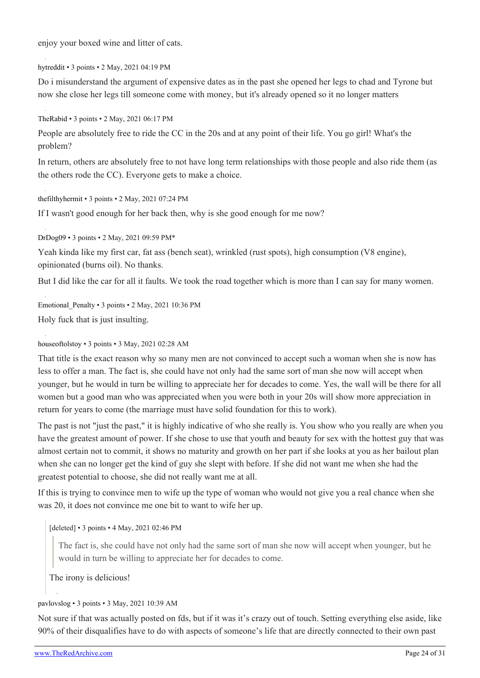enjoy your boxed wine and litter of cats.

[hytreddit](https://old.reddit.com/user/hytreddit) • 3 points • 2 May, 2021 04:19 PM

Do i misunderstand the argument of expensive dates as in the past she opened her legs to chad and Tyrone but now she close her legs till someone come with money, but it's already opened so it no longer matters

[TheRabid](https://old.reddit.com/user/TheRabid) • 3 points • 2 May, 2021 06:17 PM

People are absolutely free to ride the CC in the 20s and at any point of their life. You go girl! What's the problem?

In return, others are absolutely free to not have long term relationships with those people and also ride them (as the others rode the CC). Everyone gets to make a choice.

[thefilthyhermit](https://old.reddit.com/user/thefilthyhermit) • 3 points • 2 May, 2021 07:24 PM

If I wasn't good enough for her back then, why is she good enough for me now?

[DrDog09](https://old.reddit.com/user/DrDog09) • 3 points • 2 May, 2021 09:59 PM\*

Yeah kinda like my first car, fat ass (bench seat), wrinkled (rust spots), high consumption (V8 engine), opinionated (burns oil). No thanks.

But I did like the car for all it faults. We took the road together which is more than I can say for many women.

Emotional Penalty • 3 points • 2 May, 2021 10:36 PM Holy fuck that is just insulting.

#### [houseoftolstoy](https://old.reddit.com/user/houseoftolstoy) • 3 points • 3 May, 2021 02:28 AM

That title is the exact reason why so many men are not convinced to accept such a woman when she is now has less to offer a man. The fact is, she could have not only had the same sort of man she now will accept when younger, but he would in turn be willing to appreciate her for decades to come. Yes, the wall will be there for all women but a good man who was appreciated when you were both in your 20s will show more appreciation in return for years to come (the marriage must have solid foundation for this to work).

The past is not "just the past," it is highly indicative of who she really is. You show who you really are when you have the greatest amount of power. If she chose to use that youth and beauty for sex with the hottest guy that was almost certain not to commit, it shows no maturity and growth on her part if she looks at you as her bailout plan when she can no longer get the kind of guy she slept with before. If she did not want me when she had the greatest potential to choose, she did not really want me at all.

If this is trying to convince men to wife up the type of woman who would not give you a real chance when she was 20, it does not convince me one bit to want to wife her up.

[deleted] • 3 points • 4 May, 2021 02:46 PM

The fact is, she could have not only had the same sort of man she now will accept when younger, but he would in turn be willing to appreciate her for decades to come.

The irony is delicious!

#### [pavlovslog](https://old.reddit.com/user/pavlovslog) • 3 points • 3 May, 2021 10:39 AM

Not sure if that was actually posted on fds, but if it was it's crazy out of touch. Setting everything else aside, like 90% of their disqualifies have to do with aspects of someone's life that are directly connected to their own past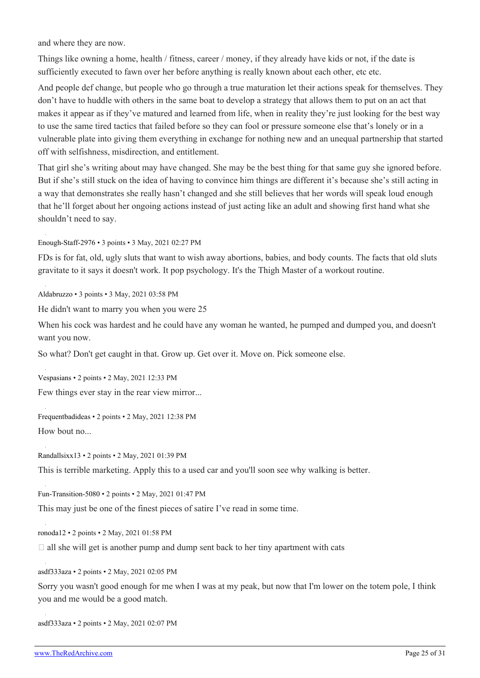and where they are now.

Things like owning a home, health / fitness, career / money, if they already have kids or not, if the date is sufficiently executed to fawn over her before anything is really known about each other, etc etc.

And people def change, but people who go through a true maturation let their actions speak for themselves. They don't have to huddle with others in the same boat to develop a strategy that allows them to put on an act that makes it appear as if they've matured and learned from life, when in reality they're just looking for the best way to use the same tired tactics that failed before so they can fool or pressure someone else that's lonely or in a vulnerable plate into giving them everything in exchange for nothing new and an unequal partnership that started off with selfishness, misdirection, and entitlement.

That girl she's writing about may have changed. She may be the best thing for that same guy she ignored before. But if she's still stuck on the idea of having to convince him things are different it's because she's still acting in a way that demonstrates she really hasn't changed and she still believes that her words will speak loud enough that he'll forget about her ongoing actions instead of just acting like an adult and showing first hand what she shouldn't need to say.

[Enough-Staff-2976](https://old.reddit.com/user/Enough-Staff-2976) • 3 points • 3 May, 2021 02:27 PM

FDs is for fat, old, ugly sluts that want to wish away abortions, babies, and body counts. The facts that old sluts gravitate to it says it doesn't work. It pop psychology. It's the Thigh Master of a workout routine.

[Aldabruzzo](https://old.reddit.com/user/Aldabruzzo) • 3 points • 3 May, 2021 03:58 PM

He didn't want to marry you when you were 25

When his cock was hardest and he could have any woman he wanted, he pumped and dumped you, and doesn't want you now.

So what? Don't get caught in that. Grow up. Get over it. Move on. Pick someone else.

[Vespasians](https://old.reddit.com/user/Vespasians) • 2 points • 2 May, 2021 12:33 PM

Few things ever stay in the rear view mirror...

[Frequentbadideas](https://old.reddit.com/user/Frequentbadideas) • 2 points • 2 May, 2021 12:38 PM How bout no...

[Randallsixx13](https://old.reddit.com/user/Randallsixx13) • 2 points • 2 May, 2021 01:39 PM

This is terrible marketing. Apply this to a used car and you'll soon see why walking is better.

[Fun-Transition-5080](https://old.reddit.com/user/Fun-Transition-5080) • 2 points • 2 May, 2021 01:47 PM

This may just be one of the finest pieces of satire I've read in some time.

[ronoda12](https://old.reddit.com/user/ronoda12) • 2 points • 2 May, 2021 01:58 PM

 $\Box$  all she will get is another pump and dump sent back to her tiny apartment with cats

[asdf333aza](https://old.reddit.com/user/asdf333aza) • 2 points • 2 May, 2021 02:05 PM

Sorry you wasn't good enough for me when I was at my peak, but now that I'm lower on the totem pole, I think you and me would be a good match.

[asdf333aza](https://old.reddit.com/user/asdf333aza) • 2 points • 2 May, 2021 02:07 PM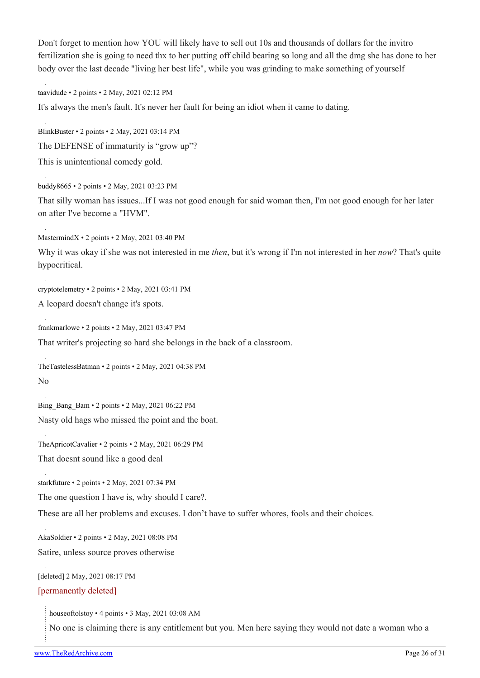Don't forget to mention how YOU will likely have to sell out 10s and thousands of dollars for the invitro fertilization she is going to need thx to her putting off child bearing so long and all the dmg she has done to her body over the last decade "living her best life", while you was grinding to make something of yourself

[taavidude](https://old.reddit.com/user/taavidude) • 2 points • 2 May, 2021 02:12 PM

It's always the men's fault. It's never her fault for being an idiot when it came to dating.

[BlinkBuster](https://old.reddit.com/user/BlinkBuster) • 2 points • 2 May, 2021 03:14 PM The DEFENSE of immaturity is "grow up"? This is unintentional comedy gold.

[buddy8665](https://old.reddit.com/user/buddy8665) • 2 points • 2 May, 2021 03:23 PM That silly woman has issues...If I was not good enough for said woman then, I'm not good enough for her later on after I've become a "HVM".

[MastermindX](https://old.reddit.com/user/MastermindX) • 2 points • 2 May, 2021 03:40 PM

Why it was okay if she was not interested in me *then*, but it's wrong if I'm not interested in her *now*? That's quite hypocritical.

[cryptotelemetry](https://old.reddit.com/user/cryptotelemetry) • 2 points • 2 May, 2021 03:41 PM

A leopard doesn't change it's spots.

[frankmarlowe](https://old.reddit.com/user/frankmarlowe) • 2 points • 2 May, 2021 03:47 PM

That writer's projecting so hard she belongs in the back of a classroom.

[TheTastelessBatman](https://old.reddit.com/user/TheTastelessBatman) • 2 points • 2 May, 2021 04:38 PM No

[Bing\\_Bang\\_Bam](https://old.reddit.com/user/Bing_Bang_Bam) • 2 points • 2 May, 2021 06:22 PM Nasty old hags who missed the point and the boat.

[TheApricotCavalier](https://old.reddit.com/user/TheApricotCavalier) • 2 points • 2 May, 2021 06:29 PM That doesnt sound like a good deal

[starkfuture](https://old.reddit.com/user/starkfuture) • 2 points • 2 May, 2021 07:34 PM

The one question I have is, why should I care?.

These are all her problems and excuses. I don't have to suffer whores, fools and their choices.

[AkaSoldier](https://old.reddit.com/user/AkaSoldier) • 2 points • 2 May, 2021 08:08 PM Satire, unless source proves otherwise

[deleted] 2 May, 2021 08:17 PM

#### [permanently deleted]

[houseoftolstoy](https://old.reddit.com/user/houseoftolstoy) • 4 points • 3 May, 2021 03:08 AM

No one is claiming there is any entitlement but you. Men here saying they would not date a woman who a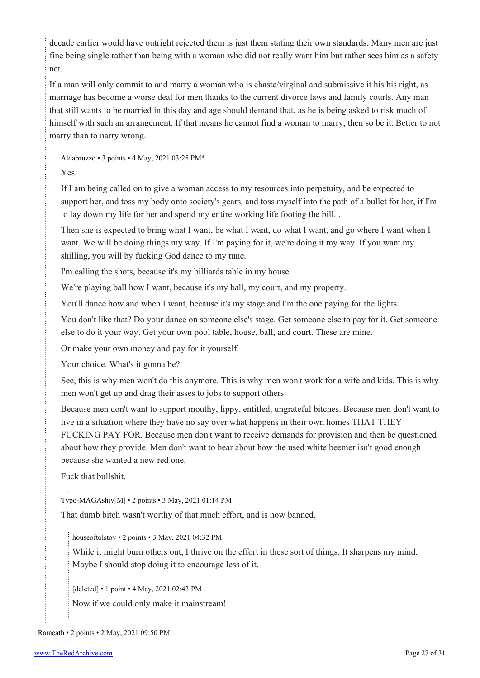decade earlier would have outright rejected them is just them stating their own standards. Many men are just fine being single rather than being with a woman who did not really want him but rather sees him as a safety net.

If a man will only commit to and marry a woman who is chaste/virginal and submissive it his his right, as marriage has become a worse deal for men thanks to the current divorce laws and family courts. Any man that still wants to be married in this day and age should demand that, as he is being asked to risk much of himself with such an arrangement. If that means he cannot find a woman to marry, then so be it. Better to not marry than to narry wrong.

[Aldabruzzo](https://old.reddit.com/user/Aldabruzzo) • 3 points • 4 May, 2021 03:25 PM\*

Yes.

If I am being called on to give a woman access to my resources into perpetuity, and be expected to support her, and toss my body onto society's gears, and toss myself into the path of a bullet for her, if I'm to lay down my life for her and spend my entire working life footing the bill...

Then she is expected to bring what I want, be what I want, do what I want, and go where I want when I want. We will be doing things my way. If I'm paying for it, we're doing it my way. If you want my shilling, you will by fucking God dance to my tune.

I'm calling the shots, because it's my billiards table in my house.

We're playing ball how I want, because it's my ball, my court, and my property.

You'll dance how and when I want, because it's my stage and I'm the one paying for the lights.

You don't like that? Do your dance on someone else's stage. Get someone else to pay for it. Get someone else to do it your way. Get your own pool table, house, ball, and court. These are mine.

Or make your own money and pay for it yourself.

Your choice. What's it gonna be?

See, this is why men won't do this anymore. This is why men won't work for a wife and kids. This is why men won't get up and drag their asses to jobs to support others.

Because men don't want to support mouthy, lippy, entitled, ungrateful bitches. Because men don't want to live in a situation where they have no say over what happens in their own homes THAT THEY FUCKING PAY FOR. Because men don't want to receive demands for provision and then be questioned about how they provide. Men don't want to hear about how the used white beemer isn't good enough because she wanted a new red one.

Fuck that bullshit.

[Typo-MAGAshiv\[](https://old.reddit.com/user/Typo-MAGAshiv)[M](https://theredarchive.com/r/WhereAreAllTheGoodMen/about/moderators)] • 2 points • 3 May, 2021 01:14 PM

That dumb bitch wasn't worthy of that much effort, and is now banned.

[houseoftolstoy](https://old.reddit.com/user/houseoftolstoy) • 2 points • 3 May, 2021 04:32 PM

While it might burn others out, I thrive on the effort in these sort of things. It sharpens my mind. Maybe I should stop doing it to encourage less of it.

[deleted] • 1 point • 4 May, 2021 02:43 PM

Now if we could only make it mainstream!

[Raracath](https://old.reddit.com/user/Raracath) • 2 points • 2 May, 2021 09:50 PM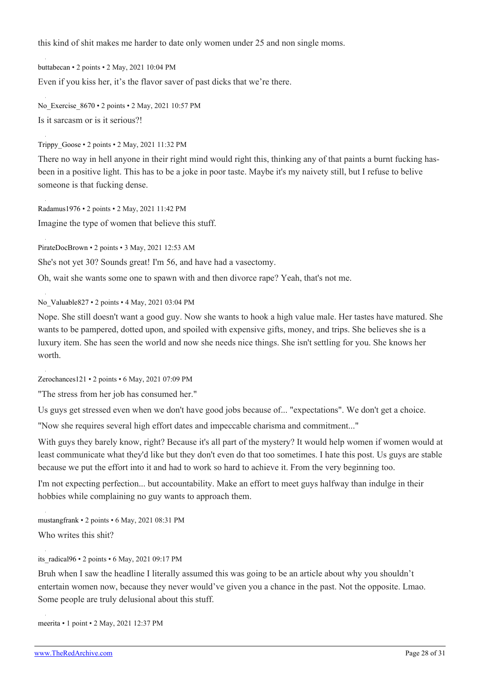this kind of shit makes me harder to date only women under 25 and non single moms.

[buttabecan](https://old.reddit.com/user/buttabecan) • 2 points • 2 May, 2021 10:04 PM Even if you kiss her, it's the flavor saver of past dicks that we're there.

[No\\_Exercise\\_8670](https://old.reddit.com/user/No_Exercise_8670) • 2 points • 2 May, 2021 10:57 PM Is it sarcasm or is it serious?!

[Trippy\\_Goose](https://old.reddit.com/user/Trippy_Goose) • 2 points • 2 May, 2021 11:32 PM

There no way in hell anyone in their right mind would right this, thinking any of that paints a burnt fucking hasbeen in a positive light. This has to be a joke in poor taste. Maybe it's my naivety still, but I refuse to belive someone is that fucking dense.

[Radamus1976](https://old.reddit.com/user/Radamus1976) • 2 points • 2 May, 2021 11:42 PM Imagine the type of women that believe this stuff.

[PirateDocBrown](https://old.reddit.com/user/PirateDocBrown) • 2 points • 3 May, 2021 12:53 AM

She's not yet 30? Sounds great! I'm 56, and have had a vasectomy.

Oh, wait she wants some one to spawn with and then divorce rape? Yeah, that's not me.

[No\\_Valuable827](https://old.reddit.com/user/No_Valuable827) • 2 points • 4 May, 2021 03:04 PM

Nope. She still doesn't want a good guy. Now she wants to hook a high value male. Her tastes have matured. She wants to be pampered, dotted upon, and spoiled with expensive gifts, money, and trips. She believes she is a luxury item. She has seen the world and now she needs nice things. She isn't settling for you. She knows her worth.

[Zerochances121](https://old.reddit.com/user/Zerochances121) • 2 points • 6 May, 2021 07:09 PM

"The stress from her job has consumed her."

Us guys get stressed even when we don't have good jobs because of... "expectations". We don't get a choice.

"Now she requires several high effort dates and impeccable charisma and commitment..."

With guys they barely know, right? Because it's all part of the mystery? It would help women if women would at least communicate what they'd like but they don't even do that too sometimes. I hate this post. Us guys are stable because we put the effort into it and had to work so hard to achieve it. From the very beginning too.

I'm not expecting perfection... but accountability. Make an effort to meet guys halfway than indulge in their hobbies while complaining no guy wants to approach them.

[mustangfrank](https://old.reddit.com/user/mustangfrank) • 2 points • 6 May, 2021 08:31 PM Who writes this shit?

#### [its\\_radical96](https://old.reddit.com/user/its_radical96) • 2 points • 6 May, 2021 09:17 PM

Bruh when I saw the headline I literally assumed this was going to be an article about why you shouldn't entertain women now, because they never would've given you a chance in the past. Not the opposite. Lmao. Some people are truly delusional about this stuff.

[meerita](https://old.reddit.com/user/meerita) • 1 point • 2 May, 2021 12:37 PM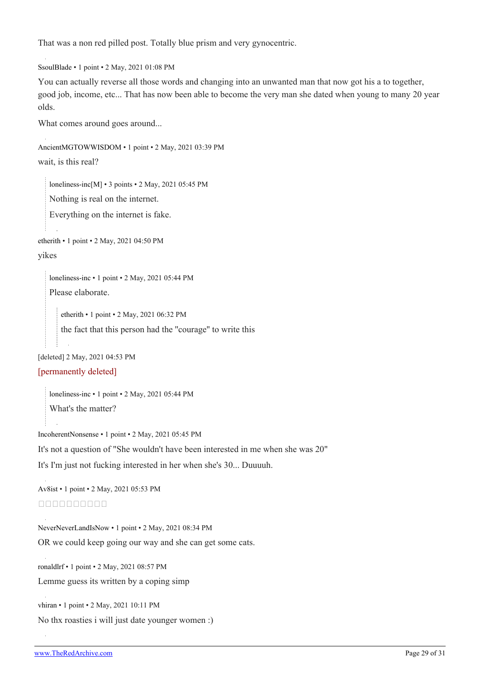That was a non red pilled post. Totally blue prism and very gynocentric.

[SsoulBlade](https://old.reddit.com/user/SsoulBlade) • 1 point • 2 May, 2021 01:08 PM

You can actually reverse all those words and changing into an unwanted man that now got his a to together, good job, income, etc... That has now been able to become the very man she dated when young to many 20 year olds.

What comes around goes around...

```
AncientMGTOWWISDOM • 1 point • 2 May, 2021 03:39 PM
wait, is this real?
```
[loneliness-inc\[](https://old.reddit.com/user/loneliness-inc)[M\]](https://theredarchive.com/r/WhereAreAllTheGoodMen/about/moderators) • 3 points • 2 May, 2021 05:45 PM

Nothing is real on the internet.

Everything on the internet is fake.

[etherith](https://old.reddit.com/user/etherith) • 1 point • 2 May, 2021 04:50 PM

#### yikes

[loneliness-inc](https://old.reddit.com/user/loneliness-inc) • 1 point • 2 May, 2021 05:44 PM Please elaborate.

[etherith](https://old.reddit.com/user/etherith) • 1 point • 2 May, 2021 06:32 PM the fact that this person had the ''courage'' to write this

[deleted] 2 May, 2021 04:53 PM

#### [permanently deleted]

[loneliness-inc](https://old.reddit.com/user/loneliness-inc) • 1 point • 2 May, 2021 05:44 PM What's the matter?

[IncoherentNonsense](https://old.reddit.com/user/IncoherentNonsense) • 1 point • 2 May, 2021 05:45 PM

It's not a question of "She wouldn't have been interested in me when she was 20"

It's I'm just not fucking interested in her when she's 30... Duuuuh.

[Av8ist](https://old.reddit.com/user/Av8ist) • 1 point • 2 May, 2021 05:53 PM <u>OOOOOOOOOO</u>

[NeverNeverLandIsNow](https://old.reddit.com/user/NeverNeverLandIsNow) • 1 point • 2 May, 2021 08:34 PM OR we could keep going our way and she can get some cats.

[ronaldlrf](https://old.reddit.com/user/ronaldlrf) • 1 point • 2 May, 2021 08:57 PM

Lemme guess its written by a coping simp

[vhiran](https://old.reddit.com/user/vhiran) • 1 point • 2 May, 2021 10:11 PM

No thx roasties i will just date younger women :)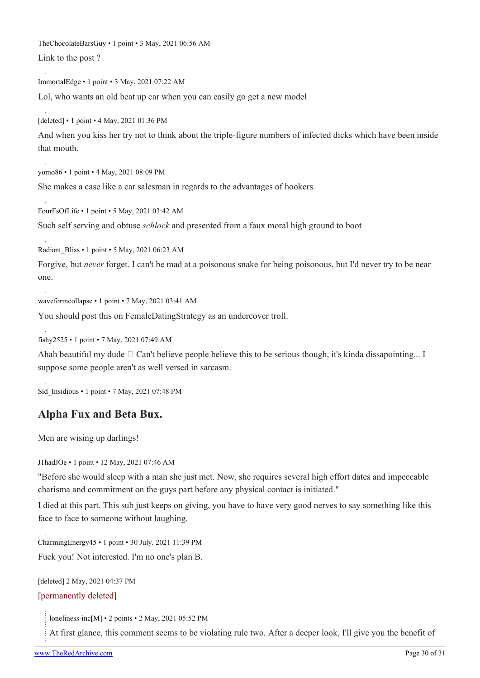[TheChocolateBarsGuy](https://old.reddit.com/user/TheChocolateBarsGuy) • 1 point • 3 May, 2021 06:56 AM

Link to the post ?

[ImmortalEdge](https://old.reddit.com/user/ImmortalEdge) • 1 point • 3 May, 2021 07:22 AM Lol, who wants an old beat up car when you can easily go get a new model

[deleted] • 1 point • 4 May, 2021 01:36 PM

And when you kiss her try not to think about the triple-figure numbers of infected dicks which have been inside that mouth.

[yomo86](https://old.reddit.com/user/yomo86) • 1 point • 4 May, 2021 08:09 PM

She makes a case like a car salesman in regards to the advantages of hookers.

[FourFsOfLife](https://old.reddit.com/user/FourFsOfLife) • 1 point • 5 May, 2021 03:42 AM Such self serving and obtuse *schlock* and presented from a faux moral high ground to boot

[Radiant\\_Bliss](https://old.reddit.com/user/Radiant_Bliss) • 1 point • 5 May, 2021 06:23 AM

Forgive, but *never* forget. I can't be mad at a poisonous snake for being poisonous, but I'd never try to be near one.

[waveformcollapse](https://old.reddit.com/user/waveformcollapse) • 1 point • 7 May, 2021 03:41 AM

You should post this on FemaleDatingStrategy as an undercover troll.

[fishy2525](https://old.reddit.com/user/fishy2525) • 1 point • 7 May, 2021 07:49 AM

Ahah beautiful my dude  $\Box$  Can't believe people believe this to be serious though, it's kinda dissapointing... I suppose some people aren't as well versed in sarcasm.

[Sid\\_Insidious](https://old.reddit.com/user/Sid_Insidious) • 1 point • 7 May, 2021 07:48 PM

# **Alpha Fux and Beta Bux.**

Men are wising up darlings!

[J1hadJOe](https://old.reddit.com/user/J1hadJOe) • 1 point • 12 May, 2021 07:46 AM

"Before she would sleep with a man she just met. Now, she requires several high effort dates and impeccable charisma and commitment on the guys part before any physical contact is initiated."

I died at this part. This sub just keeps on giving, you have to have very good nerves to say something like this face to face to someone without laughing.

[CharmingEnergy45](https://old.reddit.com/user/CharmingEnergy45) • 1 point • 30 July, 2021 11:39 PM Fuck you! Not interested. I'm no one's plan B.

[deleted] 2 May, 2021 04:37 PM

#### [permanently deleted]

[loneliness-inc\[](https://old.reddit.com/user/loneliness-inc)[M\]](https://theredarchive.com/r/WhereAreAllTheGoodMen/about/moderators) • 2 points • 2 May, 2021 05:52 PM

At first glance, this comment seems to be violating rule two. After a deeper look, I'll give you the benefit of